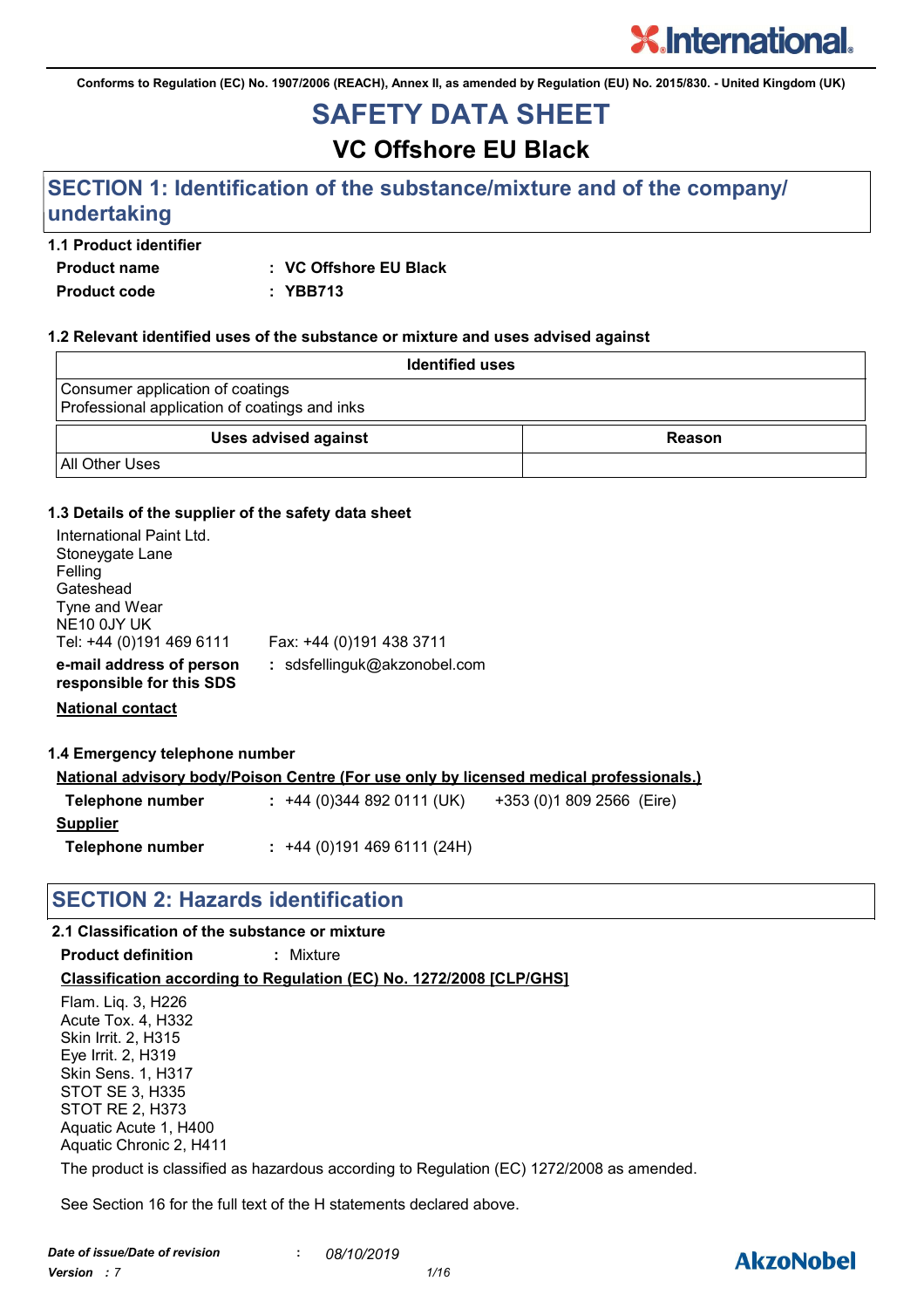**Conforms to Regulation (EC) No. 1907/2006 (REACH), Annex II, as amended by Regulation (EU) No. 2015/830. - United Kingdom (UK)**

# **SAFETY DATA SHEET**

**VC Offshore EU Black**

### **SECTION 1: Identification of the substance/mixture and of the company/ undertaking**

#### **1.1 Product identifier**

**Product name : VC Offshore EU Black**

**Product code : YBB713**

#### **1.2 Relevant identified uses of the substance or mixture and uses advised against**

| <b>Identified uses</b>                                                            |        |
|-----------------------------------------------------------------------------------|--------|
| Consumer application of coatings<br>Professional application of coatings and inks |        |
| <b>Uses advised against</b>                                                       | Reason |
| <b>All Other Uses</b>                                                             |        |

#### **1.3 Details of the supplier of the safety data sheet**

| International Paint Ltd.<br>Stoneygate Lane<br>Felling<br>Gateshead<br>Tyne and Wear<br>NE <sub>10</sub> 0JY UK<br>Tel: +44 (0)191 469 6111 | Fax: +44 (0)191 438 3711     |
|---------------------------------------------------------------------------------------------------------------------------------------------|------------------------------|
| e-mail address of person<br>responsible for this SDS                                                                                        | : sdsfellinguk@akzonobel.com |

**National contact**

**1.4 Emergency telephone number**

|                  | National advisory body/Poison Centre (For use only by licensed medical professionals.) |                           |
|------------------|----------------------------------------------------------------------------------------|---------------------------|
| Telephone number | $: +44(0)3448920111(UK)$                                                               | +353 (0)1 809 2566 (Eire) |
| Supplier         |                                                                                        |                           |
| Telephone number | $: +44(0)1914696111(24H)$                                                              |                           |

### **SECTION 2: Hazards identification**

#### **2.1 Classification of the substance or mixture**

**Product definition :** Mixture

**Classification according to Regulation (EC) No. 1272/2008 [CLP/GHS]**

Flam. Liq. 3, H226 Acute Tox. 4, H332 Skin Irrit. 2, H315 Eye Irrit. 2, H319 Skin Sens. 1, H317 STOT SE 3, H335 STOT RE 2, H373 Aquatic Acute 1, H400 Aquatic Chronic 2, H411

The product is classified as hazardous according to Regulation (EC) 1272/2008 as amended.

See Section 16 for the full text of the H statements declared above.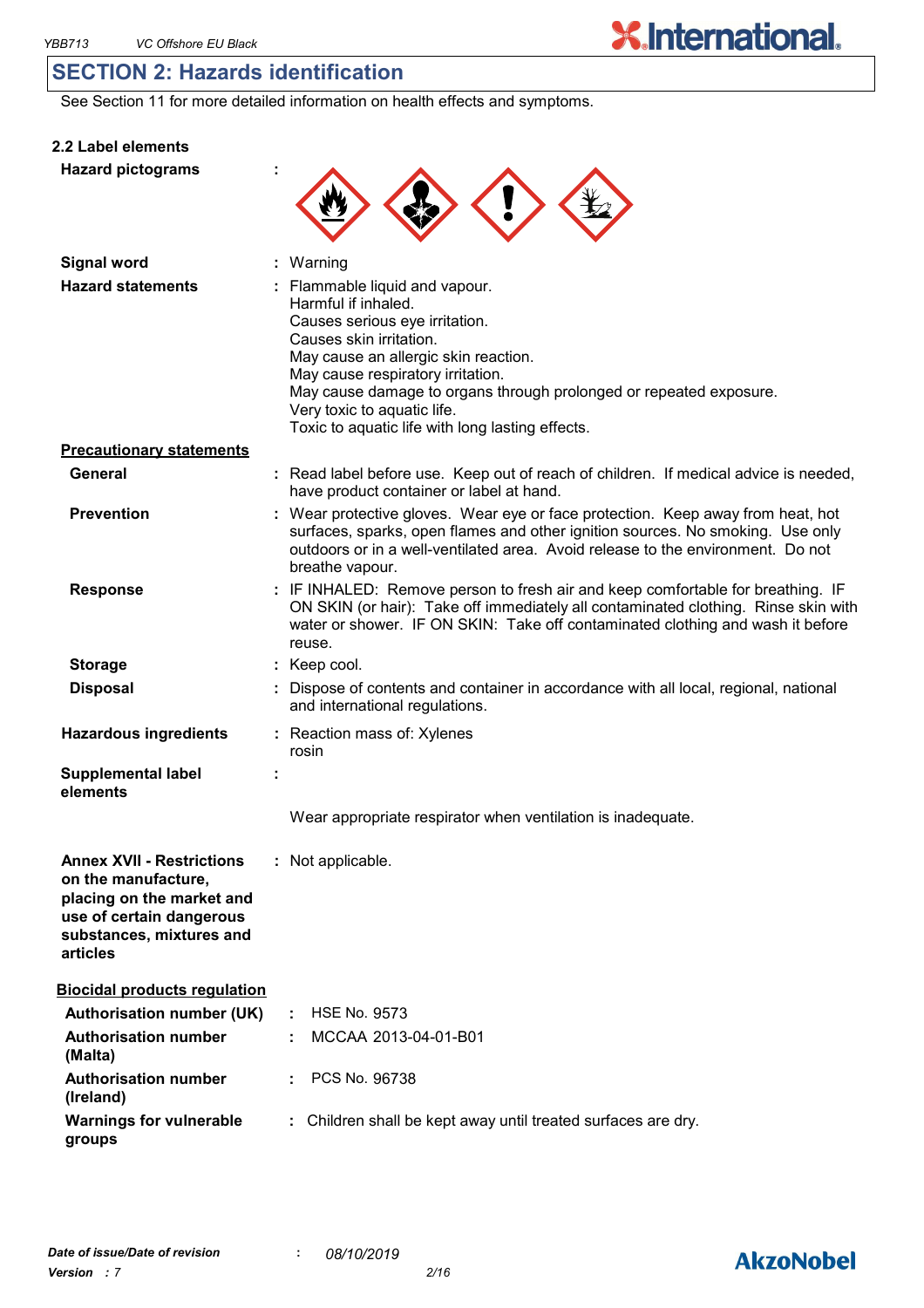**2.2 Label elements**

### **SECTION 2: Hazards identification**

See Section 11 for more detailed information on health effects and symptoms.

| <b>Hazard pictograms</b>                                                                                                                                 |                                                                                                                                                                                                                                                                                                                                                          |
|----------------------------------------------------------------------------------------------------------------------------------------------------------|----------------------------------------------------------------------------------------------------------------------------------------------------------------------------------------------------------------------------------------------------------------------------------------------------------------------------------------------------------|
| <b>Signal word</b>                                                                                                                                       | : Warning                                                                                                                                                                                                                                                                                                                                                |
| <b>Hazard statements</b>                                                                                                                                 | : Flammable liquid and vapour.<br>Harmful if inhaled.<br>Causes serious eye irritation.<br>Causes skin irritation.<br>May cause an allergic skin reaction.<br>May cause respiratory irritation.<br>May cause damage to organs through prolonged or repeated exposure.<br>Very toxic to aquatic life.<br>Toxic to aquatic life with long lasting effects. |
| <b>Precautionary statements</b>                                                                                                                          |                                                                                                                                                                                                                                                                                                                                                          |
| General                                                                                                                                                  | : Read label before use. Keep out of reach of children. If medical advice is needed,<br>have product container or label at hand.                                                                                                                                                                                                                         |
| <b>Prevention</b>                                                                                                                                        | : Wear protective gloves. Wear eye or face protection. Keep away from heat, hot<br>surfaces, sparks, open flames and other ignition sources. No smoking. Use only<br>outdoors or in a well-ventilated area. Avoid release to the environment. Do not<br>breathe vapour.                                                                                  |
| <b>Response</b>                                                                                                                                          | : IF INHALED: Remove person to fresh air and keep comfortable for breathing. IF<br>ON SKIN (or hair): Take off immediately all contaminated clothing. Rinse skin with<br>water or shower. IF ON SKIN: Take off contaminated clothing and wash it before<br>reuse.                                                                                        |
| <b>Storage</b>                                                                                                                                           | : Keep cool.                                                                                                                                                                                                                                                                                                                                             |
| <b>Disposal</b>                                                                                                                                          | : Dispose of contents and container in accordance with all local, regional, national<br>and international regulations.                                                                                                                                                                                                                                   |
| <b>Hazardous ingredients</b>                                                                                                                             | : Reaction mass of: Xylenes<br>rosin                                                                                                                                                                                                                                                                                                                     |
| <b>Supplemental label</b><br>elements                                                                                                                    |                                                                                                                                                                                                                                                                                                                                                          |
|                                                                                                                                                          | Wear appropriate respirator when ventilation is inadequate.                                                                                                                                                                                                                                                                                              |
| <b>Annex XVII - Restrictions</b><br>on the manufacture,<br>placing on the market and<br>use of certain dangerous<br>substances, mixtures and<br>articles | : Not applicable.                                                                                                                                                                                                                                                                                                                                        |
| <b>Biocidal products regulation</b>                                                                                                                      |                                                                                                                                                                                                                                                                                                                                                          |
| <b>Authorisation number (UK)</b>                                                                                                                         | <b>HSE No. 9573</b>                                                                                                                                                                                                                                                                                                                                      |
| <b>Authorisation number</b><br>(Malta)                                                                                                                   | MCCAA 2013-04-01-B01                                                                                                                                                                                                                                                                                                                                     |
| <b>Authorisation number</b><br>(Ireland)                                                                                                                 | PCS No. 96738                                                                                                                                                                                                                                                                                                                                            |
| <b>Warnings for vulnerable</b><br>groups                                                                                                                 | Children shall be kept away until treated surfaces are dry.                                                                                                                                                                                                                                                                                              |

## **AkzoNobel**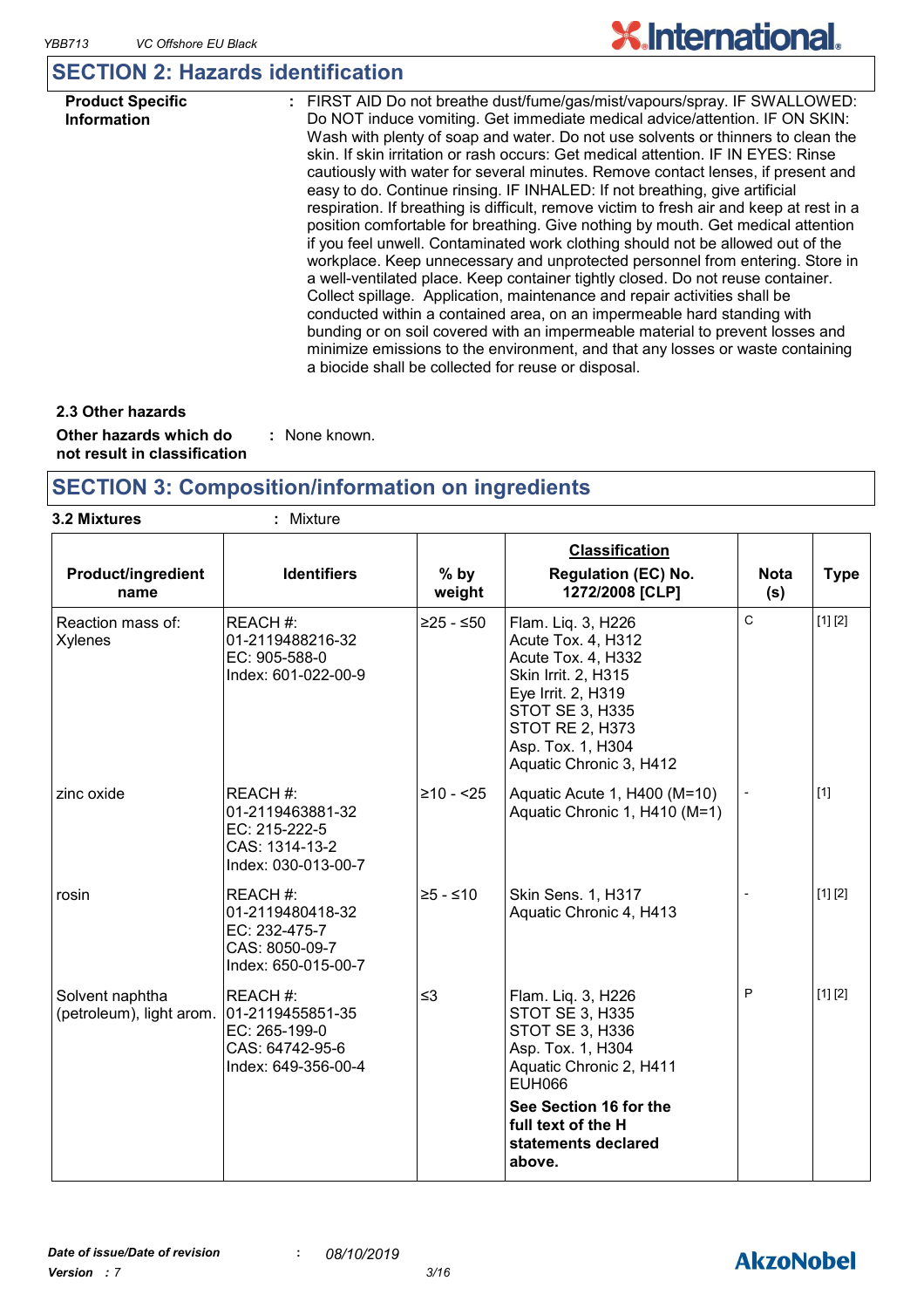## **SECTION 2: Hazards identification**

| <b>Product Specific</b><br><b>Information</b> | : FIRST AID Do not breathe dust/fume/gas/mist/vapours/spray. IF SWALLOWED:<br>Do NOT induce vomiting. Get immediate medical advice/attention. IF ON SKIN:<br>Wash with plenty of soap and water. Do not use solvents or thinners to clean the<br>skin. If skin irritation or rash occurs: Get medical attention. IF IN EYES: Rinse                                                                                                                                                                                                                 |
|-----------------------------------------------|----------------------------------------------------------------------------------------------------------------------------------------------------------------------------------------------------------------------------------------------------------------------------------------------------------------------------------------------------------------------------------------------------------------------------------------------------------------------------------------------------------------------------------------------------|
|                                               | cautiously with water for several minutes. Remove contact lenses, if present and<br>easy to do. Continue rinsing. IF INHALED: If not breathing, give artificial<br>respiration. If breathing is difficult, remove victim to fresh air and keep at rest in a<br>position comfortable for breathing. Give nothing by mouth. Get medical attention<br>if you feel unwell. Contaminated work clothing should not be allowed out of the                                                                                                                 |
|                                               | workplace. Keep unnecessary and unprotected personnel from entering. Store in<br>a well-ventilated place. Keep container tightly closed. Do not reuse container.<br>Collect spillage. Application, maintenance and repair activities shall be<br>conducted within a contained area, on an impermeable hard standing with<br>bunding or on soil covered with an impermeable material to prevent losses and<br>minimize emissions to the environment, and that any losses or waste containing<br>a biocide shall be collected for reuse or disposal. |

**Other hazards which do : not result in classification** : None known. **2.3 Other hazards**

### **SECTION 3: Composition/information on ingredients**

| 3.2 Mixtures                                | : Mixture                                                                               |                  |                                                                                                                                                                                                            |                    |             |
|---------------------------------------------|-----------------------------------------------------------------------------------------|------------------|------------------------------------------------------------------------------------------------------------------------------------------------------------------------------------------------------------|--------------------|-------------|
| <b>Product/ingredient</b><br>name           | <b>Identifiers</b>                                                                      | $%$ by<br>weight | <b>Classification</b><br><b>Regulation (EC) No.</b><br>1272/2008 [CLP]                                                                                                                                     | <b>Nota</b><br>(s) | <b>Type</b> |
| Reaction mass of:<br><b>Xylenes</b>         | REACH#:<br>01-2119488216-32<br>EC: 905-588-0<br>Index: 601-022-00-9                     | $≥25 - ≤50$      | Flam. Liq. 3, H226<br>Acute Tox. 4, H312<br>Acute Tox. 4, H332<br>Skin Irrit. 2, H315<br>Eye Irrit. 2, H319<br>STOT SE 3, H335<br><b>STOT RE 2, H373</b><br>Asp. Tox. 1, H304<br>Aquatic Chronic 3, H412   | $\mathsf C$        | [1] [2]     |
| zinc oxide                                  | REACH #:<br>01-2119463881-32<br>EC: 215-222-5<br>CAS: 1314-13-2<br>Index: 030-013-00-7  | $≥10 - 25$       | Aquatic Acute 1, H400 (M=10)<br>Aquatic Chronic 1, H410 (M=1)                                                                                                                                              |                    | $[1]$       |
| rosin                                       | REACH #:<br>01-2119480418-32<br>EC: 232-475-7<br>CAS: 8050-09-7<br>Index: 650-015-00-7  | $≥5 - ≤10$       | Skin Sens. 1, H317<br>Aquatic Chronic 4, H413                                                                                                                                                              |                    | [1] [2]     |
| Solvent naphtha<br>(petroleum), light arom. | REACH #:<br>01-2119455851-35<br>EC: 265-199-0<br>CAS: 64742-95-6<br>Index: 649-356-00-4 | $\leq$ 3         | Flam. Liq. 3, H226<br>STOT SE 3, H335<br>STOT SE 3, H336<br>Asp. Tox. 1, H304<br>Aquatic Chronic 2, H411<br><b>EUH066</b><br>See Section 16 for the<br>full text of the H<br>statements declared<br>above. | P                  | [1] [2]     |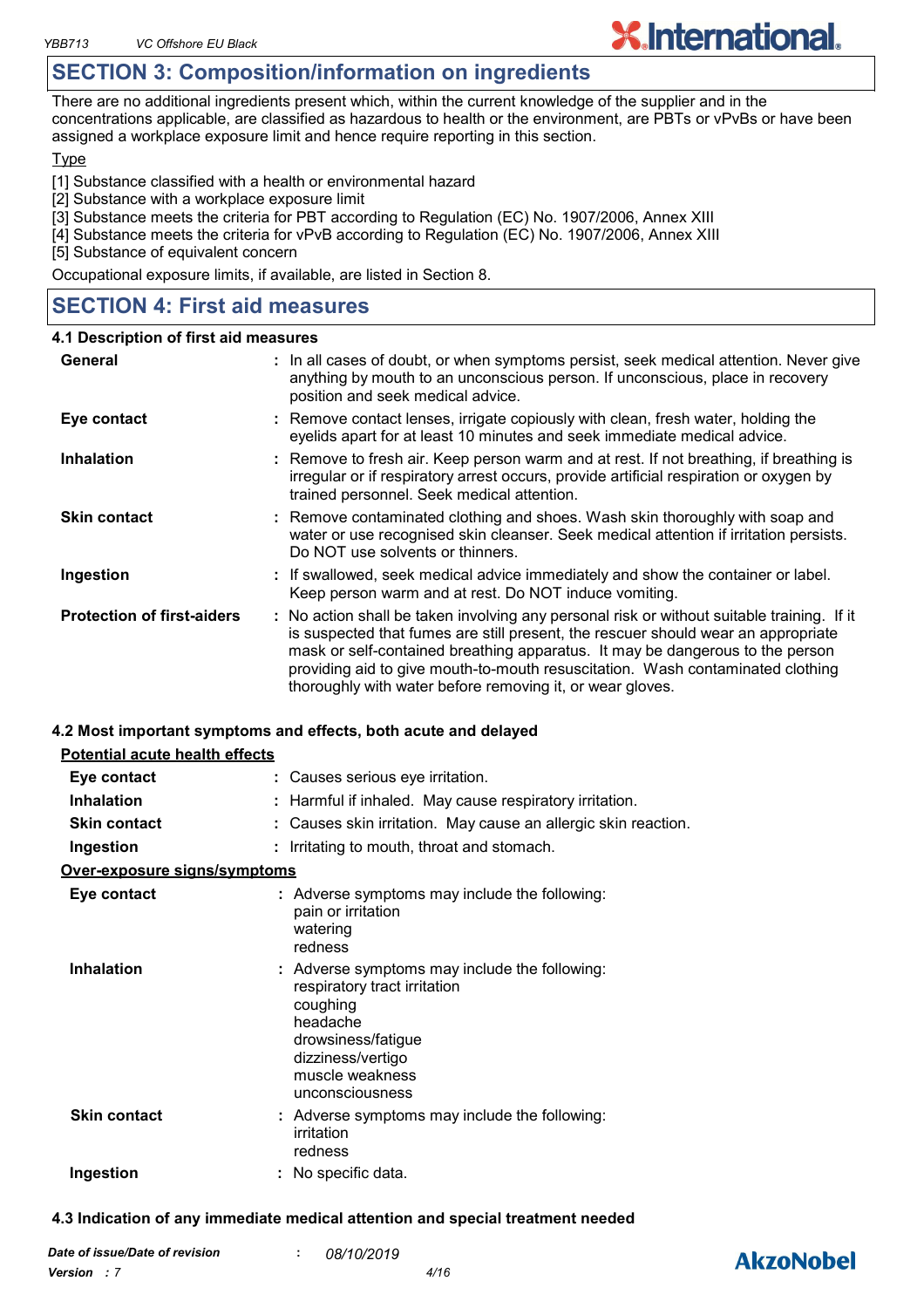### **SECTION 3: Composition/information on ingredients**

There are no additional ingredients present which, within the current knowledge of the supplier and in the concentrations applicable, are classified as hazardous to health or the environment, are PBTs or vPvBs or have been assigned a workplace exposure limit and hence require reporting in this section.

#### **Type**

[1] Substance classified with a health or environmental hazard

- [2] Substance with a workplace exposure limit
- [3] Substance meets the criteria for PBT according to Regulation (EC) No. 1907/2006, Annex XIII
- [4] Substance meets the criteria for vPvB according to Regulation (EC) No. 1907/2006, Annex XIII

[5] Substance of equivalent concern

Occupational exposure limits, if available, are listed in Section 8.

### **SECTION 4: First aid measures**

#### **4.1 Description of first aid measures**

| General                           | : In all cases of doubt, or when symptoms persist, seek medical attention. Never give<br>anything by mouth to an unconscious person. If unconscious, place in recovery<br>position and seek medical advice.                                                                                                                                                                                                     |
|-----------------------------------|-----------------------------------------------------------------------------------------------------------------------------------------------------------------------------------------------------------------------------------------------------------------------------------------------------------------------------------------------------------------------------------------------------------------|
| Eye contact                       | : Remove contact lenses, irrigate copiously with clean, fresh water, holding the<br>eyelids apart for at least 10 minutes and seek immediate medical advice.                                                                                                                                                                                                                                                    |
| <b>Inhalation</b>                 | : Remove to fresh air. Keep person warm and at rest. If not breathing, if breathing is<br>irregular or if respiratory arrest occurs, provide artificial respiration or oxygen by<br>trained personnel. Seek medical attention.                                                                                                                                                                                  |
| <b>Skin contact</b>               | : Remove contaminated clothing and shoes. Wash skin thoroughly with soap and<br>water or use recognised skin cleanser. Seek medical attention if irritation persists.<br>Do NOT use solvents or thinners.                                                                                                                                                                                                       |
| Ingestion                         | : If swallowed, seek medical advice immediately and show the container or label.<br>Keep person warm and at rest. Do NOT induce vomiting.                                                                                                                                                                                                                                                                       |
| <b>Protection of first-aiders</b> | : No action shall be taken involving any personal risk or without suitable training. If it<br>is suspected that fumes are still present, the rescuer should wear an appropriate<br>mask or self-contained breathing apparatus. It may be dangerous to the person<br>providing aid to give mouth-to-mouth resuscitation. Wash contaminated clothing<br>thoroughly with water before removing it, or wear gloves. |

#### **4.2 Most important symptoms and effects, both acute and delayed**

| <b>Potential acute health effects</b> |                                                                                                                                                                                        |
|---------------------------------------|----------------------------------------------------------------------------------------------------------------------------------------------------------------------------------------|
| Eye contact                           | : Causes serious eye irritation.                                                                                                                                                       |
| <b>Inhalation</b>                     | Harmful if inhaled. May cause respiratory irritation.                                                                                                                                  |
| <b>Skin contact</b>                   | : Causes skin irritation. May cause an allergic skin reaction.                                                                                                                         |
| Ingestion                             | Irritating to mouth, throat and stomach.                                                                                                                                               |
| Over-exposure signs/symptoms          |                                                                                                                                                                                        |
| Eye contact                           | : Adverse symptoms may include the following:<br>pain or irritation<br>watering<br>redness                                                                                             |
| <b>Inhalation</b>                     | : Adverse symptoms may include the following:<br>respiratory tract irritation<br>coughing<br>headache<br>drowsiness/fatigue<br>dizziness/vertigo<br>muscle weakness<br>unconsciousness |
| <b>Skin contact</b>                   | : Adverse symptoms may include the following:<br>irritation<br>redness                                                                                                                 |
| Ingestion                             | : No specific data.                                                                                                                                                                    |
|                                       |                                                                                                                                                                                        |

#### **4.3 Indication of any immediate medical attention and special treatment needed**

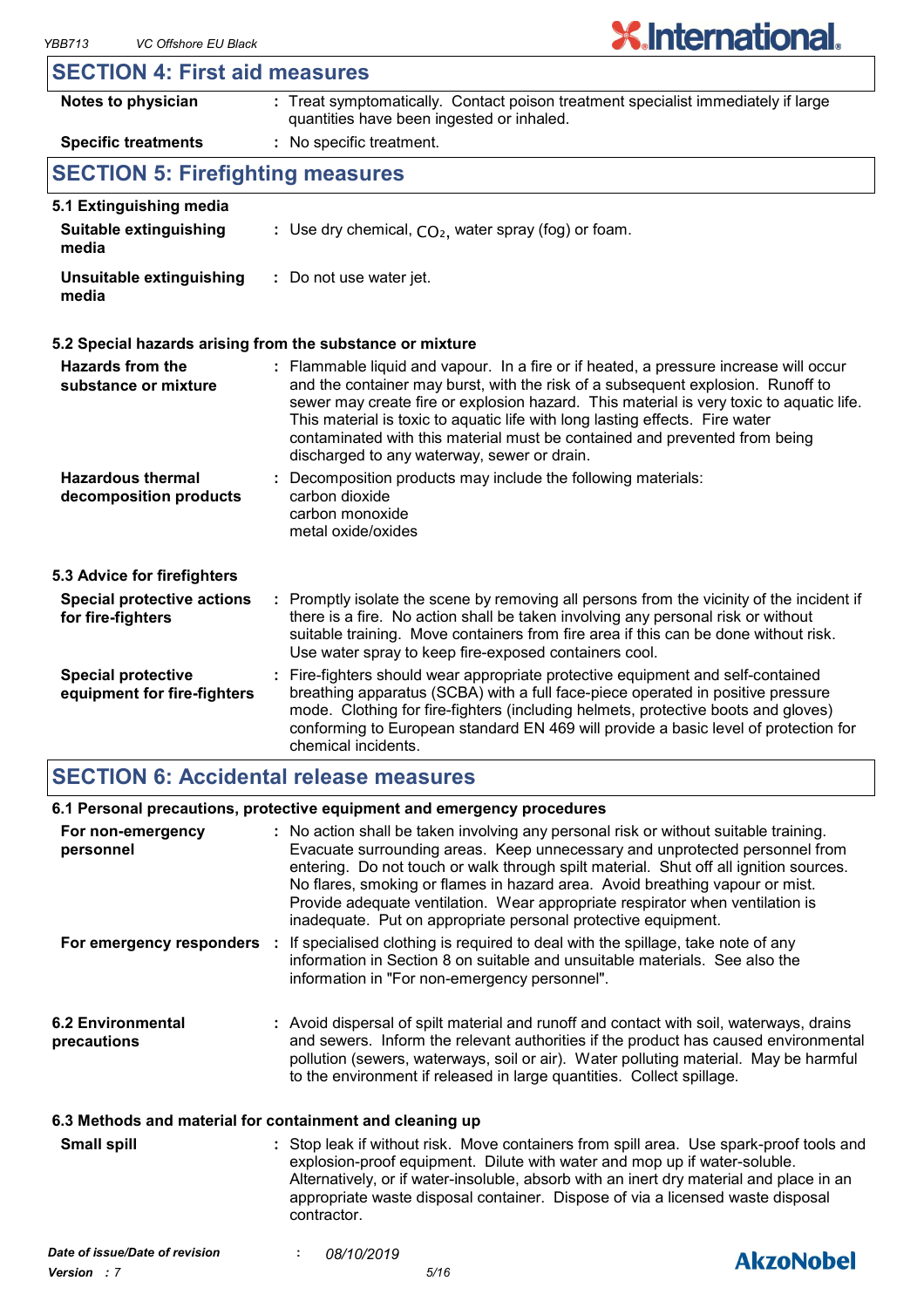$\mathsf{r}$ 

# **X.International.**

| <b>SECTION 4: First aid measures</b>                     |                                                                                                                                                                                                                                                                                                                                                                                                                                                                                  |
|----------------------------------------------------------|----------------------------------------------------------------------------------------------------------------------------------------------------------------------------------------------------------------------------------------------------------------------------------------------------------------------------------------------------------------------------------------------------------------------------------------------------------------------------------|
| Notes to physician                                       | : Treat symptomatically. Contact poison treatment specialist immediately if large<br>quantities have been ingested or inhaled.                                                                                                                                                                                                                                                                                                                                                   |
| <b>Specific treatments</b>                               | : No specific treatment.                                                                                                                                                                                                                                                                                                                                                                                                                                                         |
| <b>SECTION 5: Firefighting measures</b>                  |                                                                                                                                                                                                                                                                                                                                                                                                                                                                                  |
| 5.1 Extinguishing media                                  |                                                                                                                                                                                                                                                                                                                                                                                                                                                                                  |
| <b>Suitable extinguishing</b><br>media                   | : Use dry chemical, $CO2$ , water spray (fog) or foam.                                                                                                                                                                                                                                                                                                                                                                                                                           |
| Unsuitable extinguishing<br>media                        | : Do not use water jet.                                                                                                                                                                                                                                                                                                                                                                                                                                                          |
|                                                          | 5.2 Special hazards arising from the substance or mixture                                                                                                                                                                                                                                                                                                                                                                                                                        |
| <b>Hazards from the</b><br>substance or mixture          | : Flammable liquid and vapour. In a fire or if heated, a pressure increase will occur<br>and the container may burst, with the risk of a subsequent explosion. Runoff to<br>sewer may create fire or explosion hazard. This material is very toxic to aquatic life.<br>This material is toxic to aquatic life with long lasting effects. Fire water<br>contaminated with this material must be contained and prevented from being<br>discharged to any waterway, sewer or drain. |
| <b>Hazardous thermal</b><br>decomposition products       | : Decomposition products may include the following materials:<br>carbon dioxide<br>carbon monoxide<br>metal oxide/oxides                                                                                                                                                                                                                                                                                                                                                         |
| 5.3 Advice for firefighters                              |                                                                                                                                                                                                                                                                                                                                                                                                                                                                                  |
| <b>Special protective actions</b><br>for fire-fighters   | : Promptly isolate the scene by removing all persons from the vicinity of the incident if<br>there is a fire. No action shall be taken involving any personal risk or without<br>suitable training. Move containers from fire area if this can be done without risk.<br>Use water spray to keep fire-exposed containers cool.                                                                                                                                                    |
| <b>Special protective</b><br>equipment for fire-fighters | : Fire-fighters should wear appropriate protective equipment and self-contained<br>breathing apparatus (SCBA) with a full face-piece operated in positive pressure<br>mode. Clothing for fire-fighters (including helmets, protective boots and gloves)<br>conforming to European standard EN 469 will provide a basic level of protection for<br>chemical incidents.                                                                                                            |

### **SECTION 6: Accidental release measures**

#### **6.1 Personal precautions, protective equipment and emergency procedures**

| For non-emergency<br>personnel                           | : No action shall be taken involving any personal risk or without suitable training.<br>Evacuate surrounding areas. Keep unnecessary and unprotected personnel from<br>entering. Do not touch or walk through spilt material. Shut off all ignition sources.<br>No flares, smoking or flames in hazard area. Avoid breathing vapour or mist.<br>Provide adequate ventilation. Wear appropriate respirator when ventilation is<br>inadequate. Put on appropriate personal protective equipment. |  |
|----------------------------------------------------------|------------------------------------------------------------------------------------------------------------------------------------------------------------------------------------------------------------------------------------------------------------------------------------------------------------------------------------------------------------------------------------------------------------------------------------------------------------------------------------------------|--|
|                                                          | For emergency responders : If specialised clothing is required to deal with the spillage, take note of any<br>information in Section 8 on suitable and unsuitable materials. See also the<br>information in "For non-emergency personnel".                                                                                                                                                                                                                                                     |  |
| 6.2 Environmental<br>precautions                         | : Avoid dispersal of spilt material and runoff and contact with soil, waterways, drains<br>and sewers. Inform the relevant authorities if the product has caused environmental<br>pollution (sewers, waterways, soil or air). Water polluting material. May be harmful<br>to the environment if released in large quantities. Collect spillage.                                                                                                                                                |  |
| 6.3 Methods and material for containment and cleaning up |                                                                                                                                                                                                                                                                                                                                                                                                                                                                                                |  |
| <b>Small spill</b>                                       | : Stop leak if without risk. Move containers from spill area. Use spark-proof tools and<br>explosion-proof equipment. Dilute with water and mop up if water-soluble.<br>Alternatively, or if water-insoluble, absorb with an inert dry material and place in an<br>appropriate waste disposal container. Dispose of via a licensed waste disposal<br>contractor.                                                                                                                               |  |

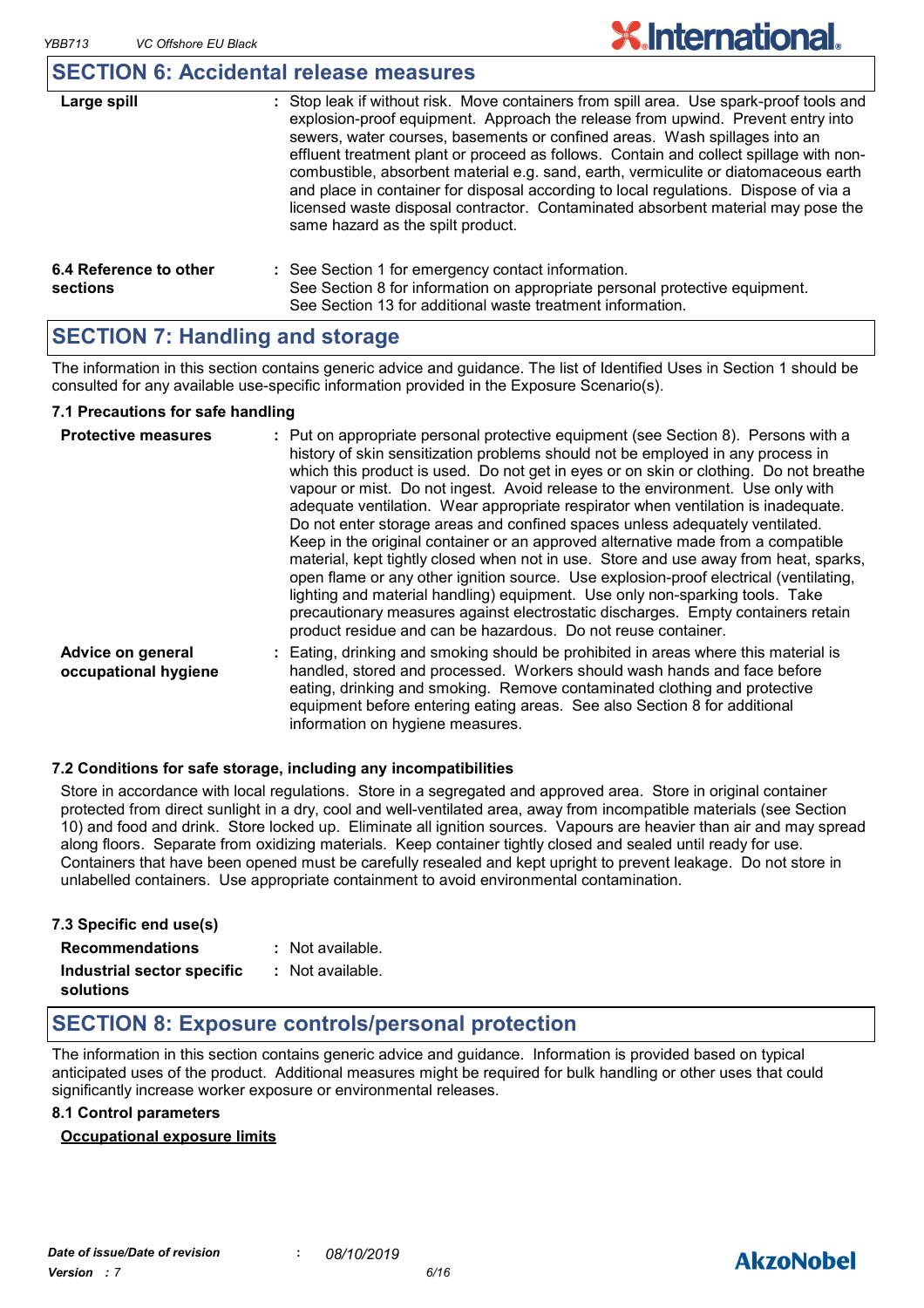| والقويم ومحمولات | . Oten laal: : finithent sial: Maria aastajaasa fsas |
|------------------|------------------------------------------------------|
|                  | <b>SECTION 6: Accidental release measures</b>        |

| Large spill                        | : Stop leak if without risk. Move containers from spill area. Use spark-proof tools and<br>explosion-proof equipment. Approach the release from upwind. Prevent entry into<br>sewers, water courses, basements or confined areas. Wash spillages into an<br>effluent treatment plant or proceed as follows. Contain and collect spillage with non-<br>combustible, absorbent material e.g. sand, earth, vermiculite or diatomaceous earth<br>and place in container for disposal according to local regulations. Dispose of via a<br>licensed waste disposal contractor. Contaminated absorbent material may pose the<br>same hazard as the spilt product. |
|------------------------------------|------------------------------------------------------------------------------------------------------------------------------------------------------------------------------------------------------------------------------------------------------------------------------------------------------------------------------------------------------------------------------------------------------------------------------------------------------------------------------------------------------------------------------------------------------------------------------------------------------------------------------------------------------------|
| 6.4 Reference to other<br>sections | : See Section 1 for emergency contact information.<br>See Section 8 for information on appropriate personal protective equipment.<br>See Section 13 for additional waste treatment information.                                                                                                                                                                                                                                                                                                                                                                                                                                                            |

### **SECTION 7: Handling and storage**

The information in this section contains generic advice and guidance. The list of Identified Uses in Section 1 should be consulted for any available use-specific information provided in the Exposure Scenario(s).

#### **7.1 Precautions for safe handling**

| <b>Protective measures</b>                | : Put on appropriate personal protective equipment (see Section 8). Persons with a<br>history of skin sensitization problems should not be employed in any process in<br>which this product is used. Do not get in eyes or on skin or clothing. Do not breathe<br>vapour or mist. Do not ingest. Avoid release to the environment. Use only with<br>adequate ventilation. Wear appropriate respirator when ventilation is inadequate.<br>Do not enter storage areas and confined spaces unless adequately ventilated.<br>Keep in the original container or an approved alternative made from a compatible<br>material, kept tightly closed when not in use. Store and use away from heat, sparks,<br>open flame or any other ignition source. Use explosion-proof electrical (ventilating,<br>lighting and material handling) equipment. Use only non-sparking tools. Take<br>precautionary measures against electrostatic discharges. Empty containers retain<br>product residue and can be hazardous. Do not reuse container. |
|-------------------------------------------|---------------------------------------------------------------------------------------------------------------------------------------------------------------------------------------------------------------------------------------------------------------------------------------------------------------------------------------------------------------------------------------------------------------------------------------------------------------------------------------------------------------------------------------------------------------------------------------------------------------------------------------------------------------------------------------------------------------------------------------------------------------------------------------------------------------------------------------------------------------------------------------------------------------------------------------------------------------------------------------------------------------------------------|
| Advice on general<br>occupational hygiene | Eating, drinking and smoking should be prohibited in areas where this material is<br>handled, stored and processed. Workers should wash hands and face before<br>eating, drinking and smoking. Remove contaminated clothing and protective<br>equipment before entering eating areas. See also Section 8 for additional<br>information on hygiene measures.                                                                                                                                                                                                                                                                                                                                                                                                                                                                                                                                                                                                                                                                     |

#### **7.2 Conditions for safe storage, including any incompatibilities**

Store in accordance with local regulations. Store in a segregated and approved area. Store in original container protected from direct sunlight in a dry, cool and well-ventilated area, away from incompatible materials (see Section 10) and food and drink. Store locked up. Eliminate all ignition sources. Vapours are heavier than air and may spread along floors. Separate from oxidizing materials. Keep container tightly closed and sealed until ready for use. Containers that have been opened must be carefully resealed and kept upright to prevent leakage. Do not store in unlabelled containers. Use appropriate containment to avoid environmental contamination.

| 7.3 Specific end use(s)                 |                  |
|-----------------------------------------|------------------|
| <b>Recommendations</b>                  | : Not available. |
| Industrial sector specific<br>solutions | : Not available. |

### **SECTION 8: Exposure controls/personal protection**

The information in this section contains generic advice and guidance. Information is provided based on typical anticipated uses of the product. Additional measures might be required for bulk handling or other uses that could significantly increase worker exposure or environmental releases.

#### **8.1 Control parameters**

#### **Occupational exposure limits**

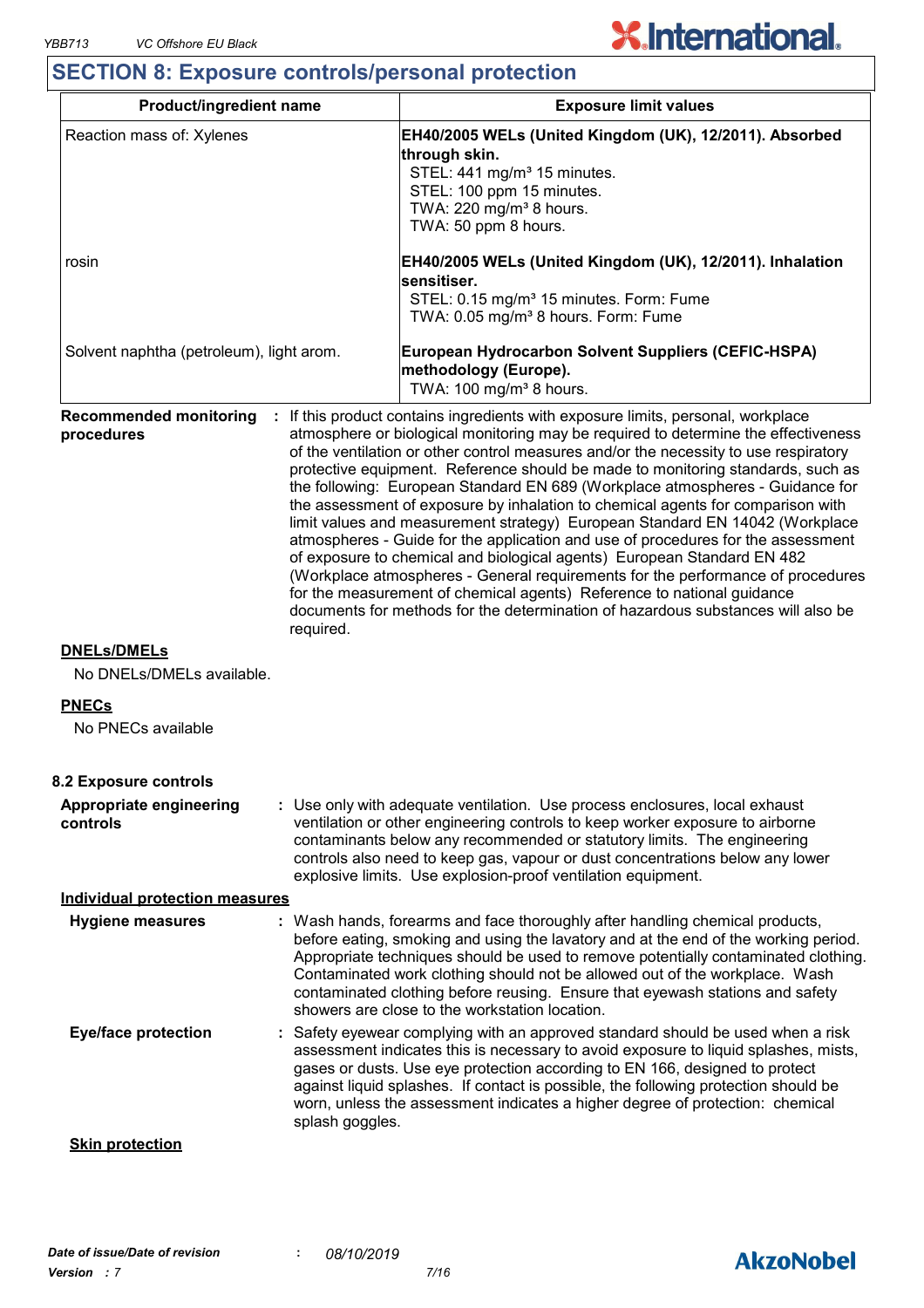## **SECTION 8: Exposure controls/personal protection**

| Reaction mass of: Xylenes<br>EH40/2005 WELs (United Kingdom (UK), 12/2011). Absorbed<br>through skin.<br>STEL: 441 mg/m <sup>3</sup> 15 minutes.<br>STEL: 100 ppm 15 minutes.<br>TWA: 220 mg/m <sup>3</sup> 8 hours.<br>TWA: 50 ppm 8 hours.<br>EH40/2005 WELs (United Kingdom (UK), 12/2011). Inhalation<br>rosin<br>sensitiser.<br>STEL: 0.15 mg/m <sup>3</sup> 15 minutes. Form: Fume<br>TWA: 0.05 mg/m <sup>3</sup> 8 hours. Form: Fume<br>Solvent naphtha (petroleum), light arom.<br>European Hydrocarbon Solvent Suppliers (CEFIC-HSPA)                                                                                                                                                                                                                                                                                                                                                                                                                                                                                                                                  |  |
|---------------------------------------------------------------------------------------------------------------------------------------------------------------------------------------------------------------------------------------------------------------------------------------------------------------------------------------------------------------------------------------------------------------------------------------------------------------------------------------------------------------------------------------------------------------------------------------------------------------------------------------------------------------------------------------------------------------------------------------------------------------------------------------------------------------------------------------------------------------------------------------------------------------------------------------------------------------------------------------------------------------------------------------------------------------------------------|--|
|                                                                                                                                                                                                                                                                                                                                                                                                                                                                                                                                                                                                                                                                                                                                                                                                                                                                                                                                                                                                                                                                                 |  |
|                                                                                                                                                                                                                                                                                                                                                                                                                                                                                                                                                                                                                                                                                                                                                                                                                                                                                                                                                                                                                                                                                 |  |
| methodology (Europe).<br>TWA: 100 mg/m <sup>3</sup> 8 hours.                                                                                                                                                                                                                                                                                                                                                                                                                                                                                                                                                                                                                                                                                                                                                                                                                                                                                                                                                                                                                    |  |
| <b>Recommended monitoring</b><br>If this product contains ingredients with exposure limits, personal, workplace<br>atmosphere or biological monitoring may be required to determine the effectiveness<br>procedures<br>of the ventilation or other control measures and/or the necessity to use respiratory<br>protective equipment. Reference should be made to monitoring standards, such as<br>the following: European Standard EN 689 (Workplace atmospheres - Guidance for<br>the assessment of exposure by inhalation to chemical agents for comparison with<br>limit values and measurement strategy) European Standard EN 14042 (Workplace<br>atmospheres - Guide for the application and use of procedures for the assessment<br>of exposure to chemical and biological agents) European Standard EN 482<br>(Workplace atmospheres - General requirements for the performance of procedures<br>for the measurement of chemical agents) Reference to national guidance<br>documents for methods for the determination of hazardous substances will also be<br>required. |  |
| <b>DNELS/DMELS</b><br>No DNELs/DMELs available.                                                                                                                                                                                                                                                                                                                                                                                                                                                                                                                                                                                                                                                                                                                                                                                                                                                                                                                                                                                                                                 |  |
| <b>PNECs</b><br>No PNECs available                                                                                                                                                                                                                                                                                                                                                                                                                                                                                                                                                                                                                                                                                                                                                                                                                                                                                                                                                                                                                                              |  |
| 8.2 Exposure controls                                                                                                                                                                                                                                                                                                                                                                                                                                                                                                                                                                                                                                                                                                                                                                                                                                                                                                                                                                                                                                                           |  |
| Appropriate engineering<br>: Use only with adequate ventilation. Use process enclosures, local exhaust<br>ventilation or other engineering controls to keep worker exposure to airborne<br>controls<br>contaminants below any recommended or statutory limits. The engineering<br>controls also need to keep gas, vapour or dust concentrations below any lower<br>explosive limits. Use explosion-proof ventilation equipment.                                                                                                                                                                                                                                                                                                                                                                                                                                                                                                                                                                                                                                                 |  |
| <b>Individual protection measures</b>                                                                                                                                                                                                                                                                                                                                                                                                                                                                                                                                                                                                                                                                                                                                                                                                                                                                                                                                                                                                                                           |  |
| : Wash hands, forearms and face thoroughly after handling chemical products,<br><b>Hygiene measures</b><br>before eating, smoking and using the lavatory and at the end of the working period.<br>Appropriate techniques should be used to remove potentially contaminated clothing.<br>Contaminated work clothing should not be allowed out of the workplace. Wash<br>contaminated clothing before reusing. Ensure that eyewash stations and safety<br>showers are close to the workstation location.                                                                                                                                                                                                                                                                                                                                                                                                                                                                                                                                                                          |  |
| <b>Eye/face protection</b><br>: Safety eyewear complying with an approved standard should be used when a risk<br>assessment indicates this is necessary to avoid exposure to liquid splashes, mists,<br>gases or dusts. Use eye protection according to EN 166, designed to protect<br>against liquid splashes. If contact is possible, the following protection should be<br>worn, unless the assessment indicates a higher degree of protection: chemical<br>splash goggles.                                                                                                                                                                                                                                                                                                                                                                                                                                                                                                                                                                                                  |  |
| <b>Skin protection</b>                                                                                                                                                                                                                                                                                                                                                                                                                                                                                                                                                                                                                                                                                                                                                                                                                                                                                                                                                                                                                                                          |  |

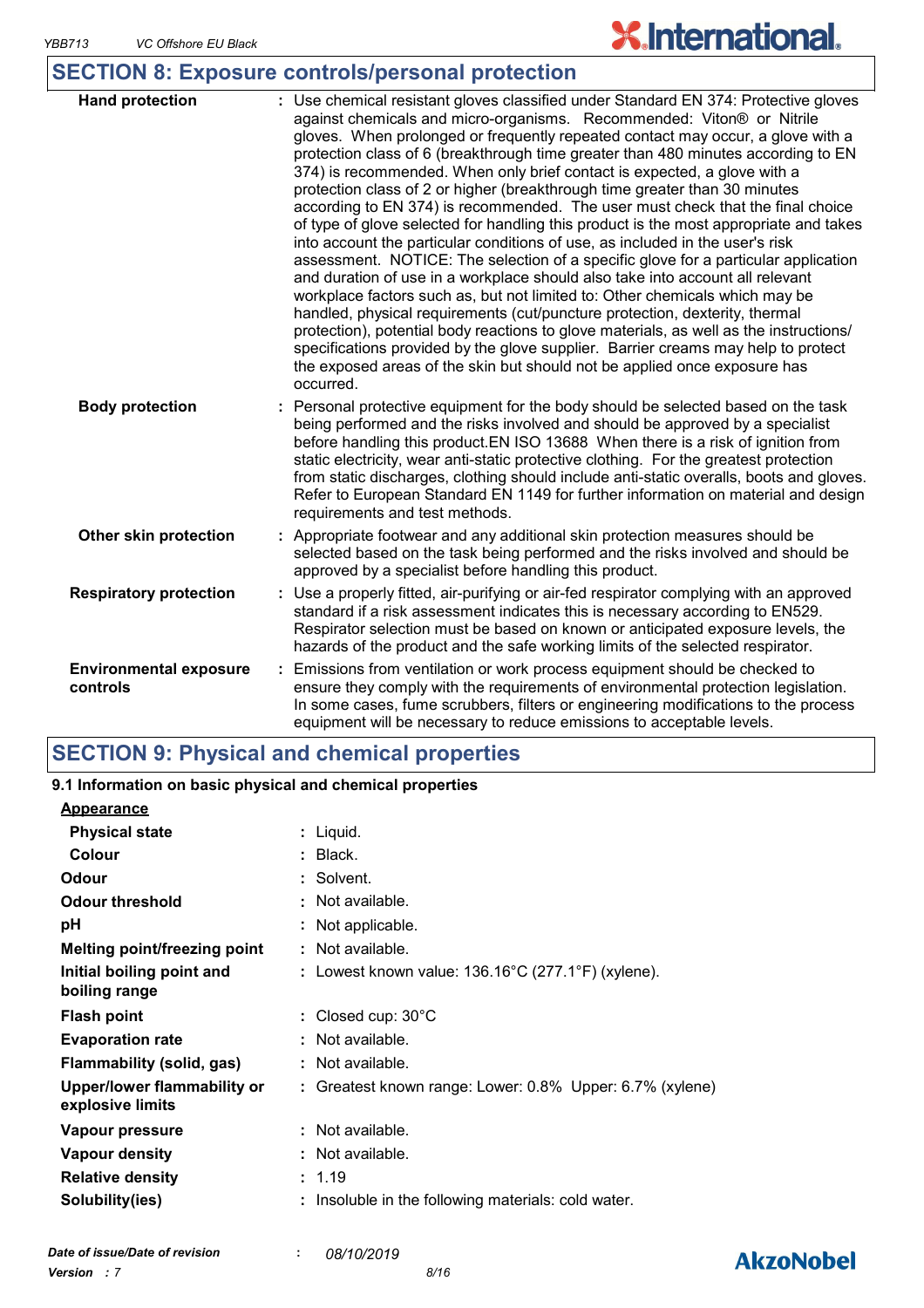**AkzoNobel** 

### **SECTION 8: Exposure controls/personal protection**

| <b>Hand protection</b>                    | : Use chemical resistant gloves classified under Standard EN 374: Protective gloves<br>against chemicals and micro-organisms. Recommended: Viton® or Nitrile<br>gloves. When prolonged or frequently repeated contact may occur, a glove with a<br>protection class of 6 (breakthrough time greater than 480 minutes according to EN<br>374) is recommended. When only brief contact is expected, a glove with a<br>protection class of 2 or higher (breakthrough time greater than 30 minutes<br>according to EN 374) is recommended. The user must check that the final choice<br>of type of glove selected for handling this product is the most appropriate and takes<br>into account the particular conditions of use, as included in the user's risk<br>assessment. NOTICE: The selection of a specific glove for a particular application<br>and duration of use in a workplace should also take into account all relevant<br>workplace factors such as, but not limited to: Other chemicals which may be<br>handled, physical requirements (cut/puncture protection, dexterity, thermal<br>protection), potential body reactions to glove materials, as well as the instructions/<br>specifications provided by the glove supplier. Barrier creams may help to protect<br>the exposed areas of the skin but should not be applied once exposure has<br>occurred. |
|-------------------------------------------|--------------------------------------------------------------------------------------------------------------------------------------------------------------------------------------------------------------------------------------------------------------------------------------------------------------------------------------------------------------------------------------------------------------------------------------------------------------------------------------------------------------------------------------------------------------------------------------------------------------------------------------------------------------------------------------------------------------------------------------------------------------------------------------------------------------------------------------------------------------------------------------------------------------------------------------------------------------------------------------------------------------------------------------------------------------------------------------------------------------------------------------------------------------------------------------------------------------------------------------------------------------------------------------------------------------------------------------------------------------------------|
| <b>Body protection</b>                    | Personal protective equipment for the body should be selected based on the task<br>being performed and the risks involved and should be approved by a specialist<br>before handling this product. EN ISO 13688 When there is a risk of ignition from<br>static electricity, wear anti-static protective clothing. For the greatest protection<br>from static discharges, clothing should include anti-static overalls, boots and gloves.<br>Refer to European Standard EN 1149 for further information on material and design<br>requirements and test methods.                                                                                                                                                                                                                                                                                                                                                                                                                                                                                                                                                                                                                                                                                                                                                                                                          |
| Other skin protection                     | : Appropriate footwear and any additional skin protection measures should be<br>selected based on the task being performed and the risks involved and should be<br>approved by a specialist before handling this product.                                                                                                                                                                                                                                                                                                                                                                                                                                                                                                                                                                                                                                                                                                                                                                                                                                                                                                                                                                                                                                                                                                                                                |
| <b>Respiratory protection</b>             | Use a properly fitted, air-purifying or air-fed respirator complying with an approved<br>standard if a risk assessment indicates this is necessary according to EN529.<br>Respirator selection must be based on known or anticipated exposure levels, the<br>hazards of the product and the safe working limits of the selected respirator.                                                                                                                                                                                                                                                                                                                                                                                                                                                                                                                                                                                                                                                                                                                                                                                                                                                                                                                                                                                                                              |
| <b>Environmental exposure</b><br>controls | Emissions from ventilation or work process equipment should be checked to<br>ensure they comply with the requirements of environmental protection legislation.<br>In some cases, fume scrubbers, filters or engineering modifications to the process<br>equipment will be necessary to reduce emissions to acceptable levels.                                                                                                                                                                                                                                                                                                                                                                                                                                                                                                                                                                                                                                                                                                                                                                                                                                                                                                                                                                                                                                            |

### **SECTION 9: Physical and chemical properties**

| 9.1 Information on basic physical and chemical properties |  |                                                              |  |  |
|-----------------------------------------------------------|--|--------------------------------------------------------------|--|--|
| <b>Appearance</b>                                         |  |                                                              |  |  |
| <b>Physical state</b>                                     |  | $:$ Liquid.                                                  |  |  |
| Colour                                                    |  | : Black.                                                     |  |  |
| Odour                                                     |  | : Solvent.                                                   |  |  |
| <b>Odour threshold</b>                                    |  | : Not available.                                             |  |  |
| рH                                                        |  | : Not applicable.                                            |  |  |
| Melting point/freezing point                              |  | : Not available.                                             |  |  |
| Initial boiling point and<br>boiling range                |  | : Lowest known value: $136.16^{\circ}$ C (277.1°F) (xylene). |  |  |
| <b>Flash point</b>                                        |  | : Closed cup: $30^{\circ}$ C                                 |  |  |
| <b>Evaporation rate</b>                                   |  | $:$ Not available.                                           |  |  |
| Flammability (solid, gas)                                 |  | $\therefore$ Not available.                                  |  |  |
| Upper/lower flammability or<br>explosive limits           |  | : Greatest known range: Lower: 0.8% Upper: 6.7% (xylene)     |  |  |
| Vapour pressure                                           |  | : Not available.                                             |  |  |
| <b>Vapour density</b>                                     |  | $\therefore$ Not available.                                  |  |  |
| <b>Relative density</b>                                   |  | : 1.19                                                       |  |  |
| Solubility(ies)                                           |  | Insoluble in the following materials: cold water.            |  |  |
|                                                           |  |                                                              |  |  |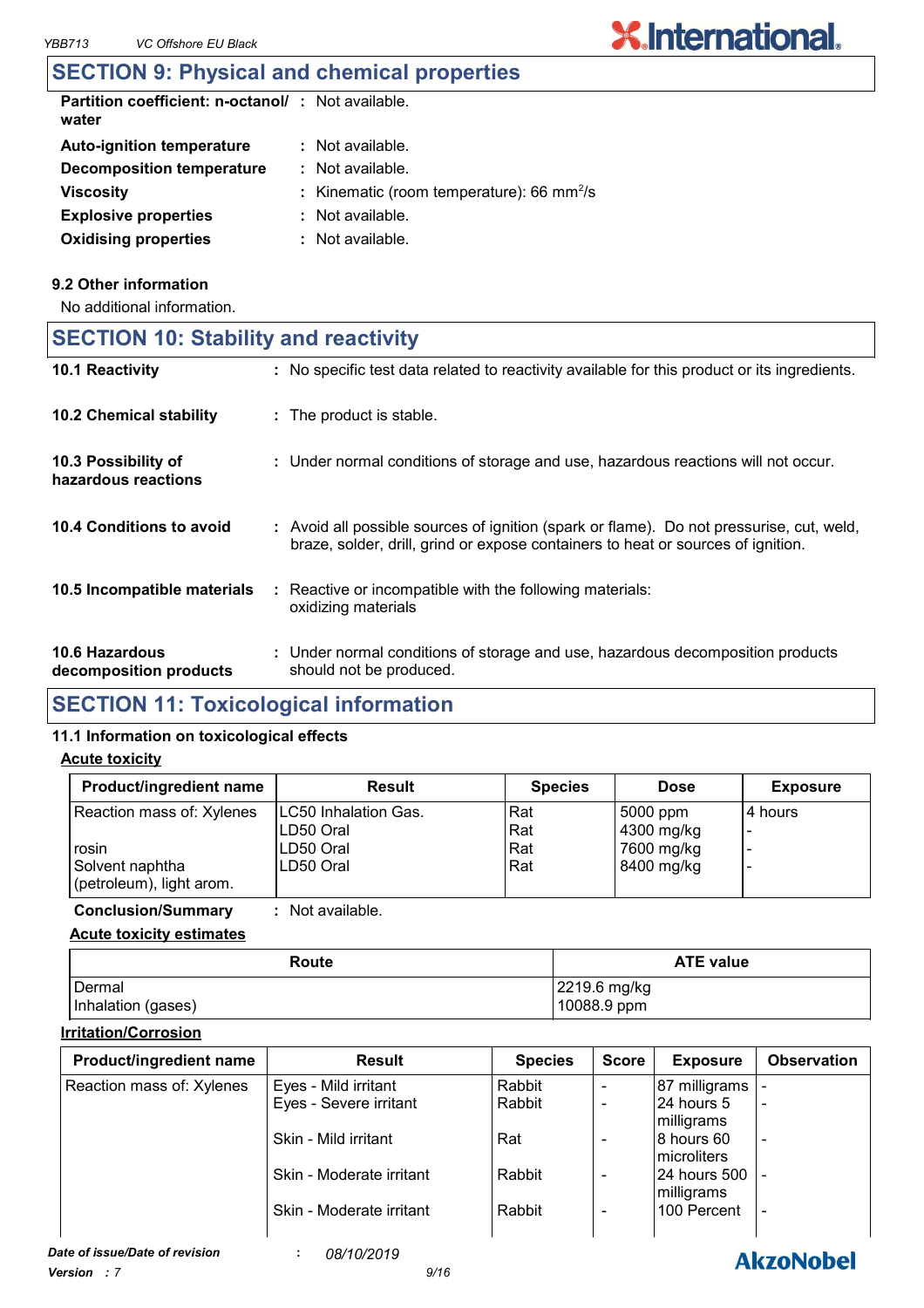### **SECTION 9: Physical and chemical properties**

| <b>Partition coefficient: n-octanol/: Not available.</b><br>water |                                                            |
|-------------------------------------------------------------------|------------------------------------------------------------|
| <b>Auto-ignition temperature</b>                                  | : Not available.                                           |
| Decomposition temperature                                         | : Not available.                                           |
| <b>Viscosity</b>                                                  | : Kinematic (room temperature): $66 \text{ mm}^2/\text{s}$ |
| <b>Explosive properties</b>                                       | : Not available.                                           |
| <b>Oxidising properties</b>                                       | $:$ Not available.                                         |

#### **9.2 Other information**

No additional information.

## **SECTION 10: Stability and reactivity**

| 10.1 Reactivity                            | : No specific test data related to reactivity available for this product or its ingredients.                                                                                 |
|--------------------------------------------|------------------------------------------------------------------------------------------------------------------------------------------------------------------------------|
| <b>10.2 Chemical stability</b>             | : The product is stable.                                                                                                                                                     |
| 10.3 Possibility of<br>hazardous reactions | : Under normal conditions of storage and use, hazardous reactions will not occur.                                                                                            |
| 10.4 Conditions to avoid                   | : Avoid all possible sources of ignition (spark or flame). Do not pressurise, cut, weld,<br>braze, solder, drill, grind or expose containers to heat or sources of ignition. |
| 10.5 Incompatible materials                | : Reactive or incompatible with the following materials:<br>oxidizing materials                                                                                              |
| 10.6 Hazardous<br>decomposition products   | : Under normal conditions of storage and use, hazardous decomposition products<br>should not be produced.                                                                    |

### **SECTION 11: Toxicological information**

#### **11.1 Information on toxicological effects**

#### **Acute toxicity**

| Product/ingredient name   | <b>Result</b>                | <b>Species</b> | <b>Dose</b> | <b>Exposure</b> |
|---------------------------|------------------------------|----------------|-------------|-----------------|
| Reaction mass of: Xylenes | <b>ILC50 Inhalation Gas.</b> | Rat            | 5000 ppm    | l 4 hours       |
|                           | LD50 Oral                    | Rat            | 4300 mg/kg  |                 |
| rosin                     | LD50 Oral                    | Rat            | 7600 mg/kg  |                 |
| Solvent naphtha           | LD50 Oral                    | Rat            | 8400 mg/kg  |                 |
| (petroleum), light arom.  |                              |                |             |                 |

**Conclusion/Summary :** Not available.

#### **Acute toxicity estimates**

| Route              | <b>ATE value</b>     |  |  |
|--------------------|----------------------|--|--|
| Dermal             | $\vert$ 2219.6 mg/kg |  |  |
| Inhalation (gases) | 10088.9 ppm          |  |  |

#### **Irritation/Corrosion**

| <b>Product/ingredient name</b> | <b>Result</b>            | <b>Species</b> | <b>Score</b>                 | <b>Exposure</b>     | <b>Observation</b>       |
|--------------------------------|--------------------------|----------------|------------------------------|---------------------|--------------------------|
| Reaction mass of: Xylenes      | Eyes - Mild irritant     | Rabbit         | $\overline{\phantom{a}}$     | 87 milligrams       |                          |
|                                | Eyes - Severe irritant   | Rabbit         | $\overline{\phantom{a}}$     | 124 hours 5         | $\overline{\phantom{a}}$ |
|                                |                          |                |                              | milligrams          |                          |
|                                | Skin - Mild irritant     | Rat            | $\overline{\phantom{a}}$     | 8 hours 60          | $\overline{\phantom{a}}$ |
|                                |                          |                |                              | <b>Imicroliters</b> |                          |
|                                | Skin - Moderate irritant | Rabbit         | $\qquad \qquad \blacksquare$ | 124 hours 500 1     |                          |
|                                |                          |                |                              | milligrams          |                          |
|                                | Skin - Moderate irritant | Rabbit         | $\qquad \qquad \blacksquare$ | 100 Percent         | $\overline{\phantom{a}}$ |
|                                |                          |                |                              |                     |                          |

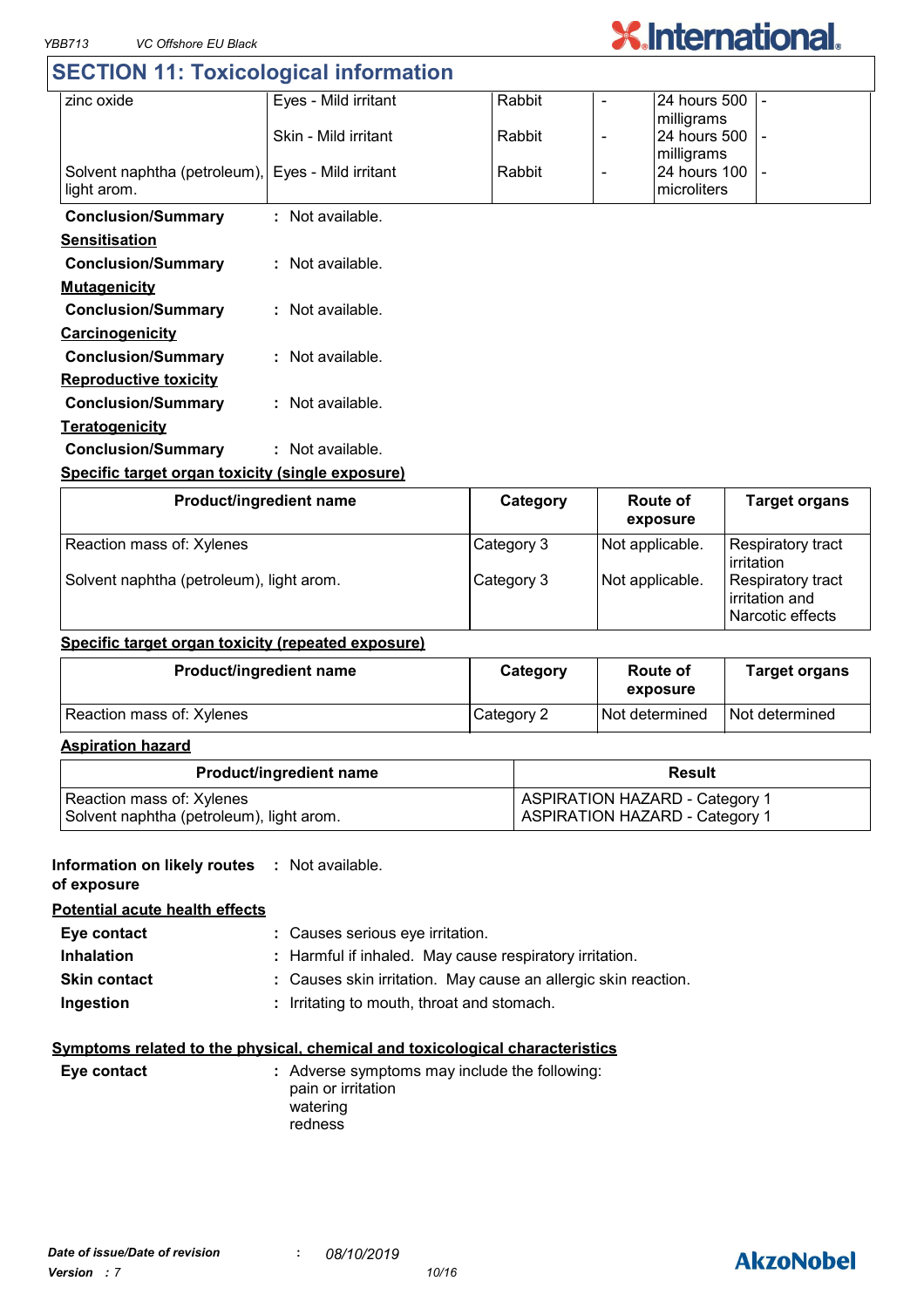## **SECTION 11: Toxicological information**

| zinc oxide                                       | Eyes - Mild irritant | Rabbit | $\overline{\phantom{0}}$ | 24 hours 500 |                |
|--------------------------------------------------|----------------------|--------|--------------------------|--------------|----------------|
|                                                  |                      |        |                          | milligrams   |                |
|                                                  | Skin - Mild irritant | Rabbit | $\overline{\phantom{a}}$ | 24 hours 500 | $\blacksquare$ |
|                                                  |                      |        |                          | milligrams   |                |
| Solvent naphtha (petroleum),                     | Eyes - Mild irritant | Rabbit | $\overline{\phantom{a}}$ | 24 hours 100 | $\blacksquare$ |
| light arom.                                      |                      |        |                          | microliters  |                |
|                                                  |                      |        |                          |              |                |
| <b>Conclusion/Summary</b>                        | : Not available.     |        |                          |              |                |
| <b>Sensitisation</b>                             |                      |        |                          |              |                |
| <b>Conclusion/Summary</b>                        | : Not available.     |        |                          |              |                |
| <b>Mutagenicity</b>                              |                      |        |                          |              |                |
| <b>Conclusion/Summary</b>                        | $:$ Not available.   |        |                          |              |                |
| <b>Carcinogenicity</b>                           |                      |        |                          |              |                |
| <b>Conclusion/Summary</b>                        | : Not available.     |        |                          |              |                |
| <b>Reproductive toxicity</b>                     |                      |        |                          |              |                |
| <b>Conclusion/Summary</b>                        | : Not available.     |        |                          |              |                |
| <b>Teratogenicity</b>                            |                      |        |                          |              |                |
| <b>Conclusion/Summary</b>                        | : Not available.     |        |                          |              |                |
| Specific target organ toxicity (single exposure) |                      |        |                          |              |                |

| Product/ingredient name                  | Category   | Route of<br>exposure | <b>Target organs</b>                                    |
|------------------------------------------|------------|----------------------|---------------------------------------------------------|
| Reaction mass of: Xylenes                | Category 3 | Not applicable.      | <b>Respiratory tract</b><br><b>l</b> irritation         |
| Solvent naphtha (petroleum), light arom. | Category 3 | Not applicable.      | Respiratory tract<br>irritation and<br>Narcotic effects |

#### **Specific target organ toxicity (repeated exposure)**

| <b>Product/ingredient name</b> | Category   | <b>Route of</b><br>exposure | <b>Target organs</b> |
|--------------------------------|------------|-----------------------------|----------------------|
| Reaction mass of: Xylenes      | Category 2 | Not determined              | Not determined       |

#### **Aspiration hazard**

| <b>Product/ingredient name</b>           | Result                                |
|------------------------------------------|---------------------------------------|
| Reaction mass of: Xylenes                | <b>ASPIRATION HAZARD - Category 1</b> |
| Solvent naphtha (petroleum), light arom. | <b>ASPIRATION HAZARD - Category 1</b> |

#### **Information on likely routes : Not available.**

**of exposure**

**Potential acute health effects**

| Eye contact         | : Causes serious eye irritation.                               |
|---------------------|----------------------------------------------------------------|
| <b>Inhalation</b>   | : Harmful if inhaled. May cause respiratory irritation.        |
| <b>Skin contact</b> | : Causes skin irritation. May cause an allergic skin reaction. |
| Ingestion           | : Irritating to mouth, throat and stomach.                     |

#### **Symptoms related to the physical, chemical and toxicological characteristics**

| Eye contact | : Adverse symptoms may include the following:<br>pain or irritation<br>watering<br>redness |
|-------------|--------------------------------------------------------------------------------------------|
|             |                                                                                            |

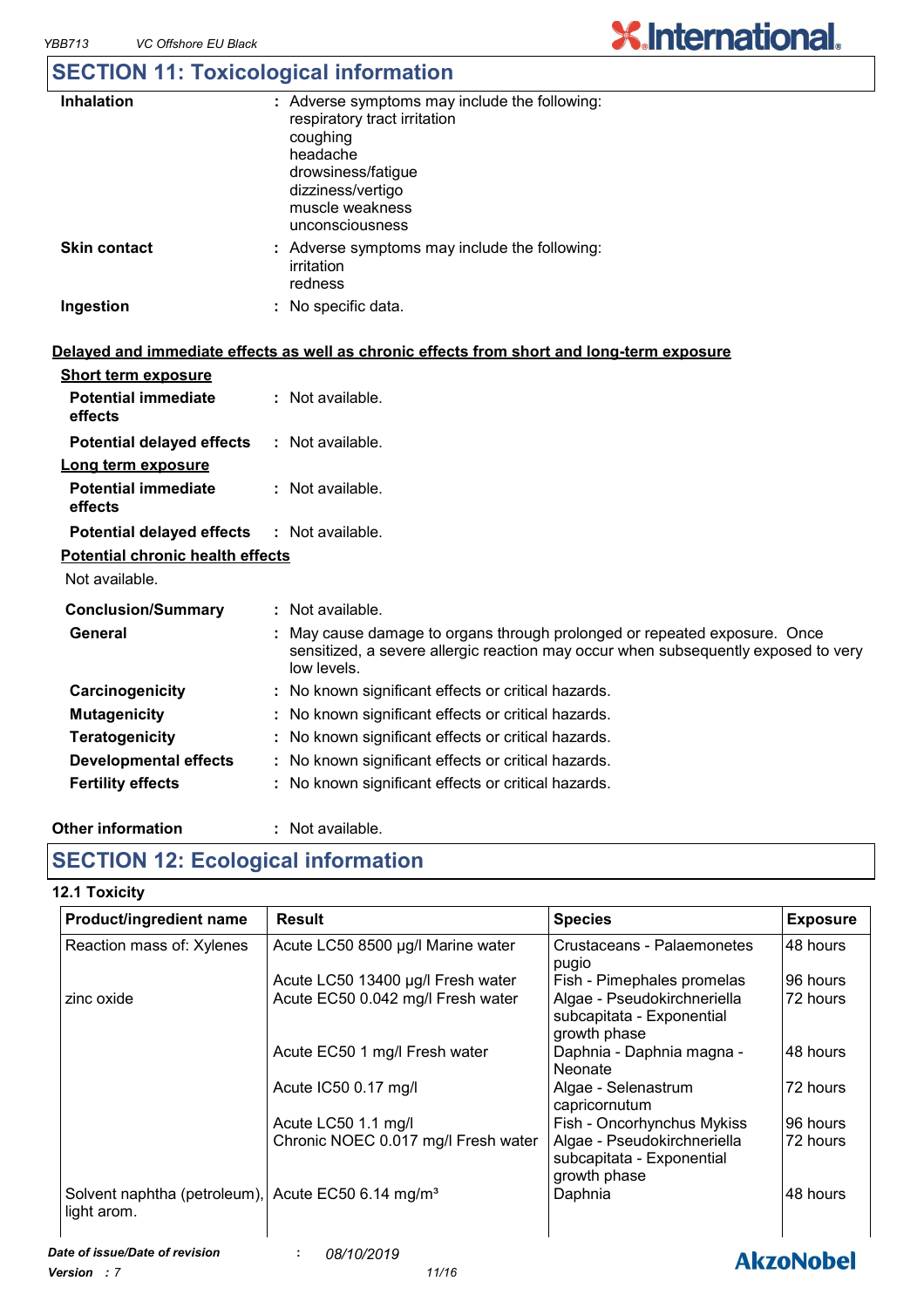## **SECTION 11: Toxicological information**

| <b>Inhalation</b>   | : Adverse symptoms may include the following:<br>respiratory tract irritation<br>coughing<br>headache<br>drowsiness/fatigue<br>dizziness/vertigo<br>muscle weakness<br>unconsciousness |
|---------------------|----------------------------------------------------------------------------------------------------------------------------------------------------------------------------------------|
| <b>Skin contact</b> | : Adverse symptoms may include the following:<br>irritation<br>redness                                                                                                                 |
| Ingestion           | No specific data.                                                                                                                                                                      |

#### **Delayed and immediate effects as well as chronic effects from short and long-term exposure**

| <b>Short term exposure</b>                        |                                                                                                                                                                              |
|---------------------------------------------------|------------------------------------------------------------------------------------------------------------------------------------------------------------------------------|
| <b>Potential immediate</b><br>effects             | $:$ Not available.                                                                                                                                                           |
| <b>Potential delayed effects</b>                  | : Not available.                                                                                                                                                             |
| Long term exposure                                |                                                                                                                                                                              |
| <b>Potential immediate</b><br>effects             | : Not available.                                                                                                                                                             |
| <b>Potential delayed effects : Not available.</b> |                                                                                                                                                                              |
| <b>Potential chronic health effects</b>           |                                                                                                                                                                              |
| Not available.                                    |                                                                                                                                                                              |
| <b>Conclusion/Summary</b>                         | : Not available.                                                                                                                                                             |
| General                                           | May cause damage to organs through prolonged or repeated exposure. Once<br>sensitized, a severe allergic reaction may occur when subsequently exposed to very<br>low levels. |
| Carcinogenicity                                   | : No known significant effects or critical hazards.                                                                                                                          |
| <b>Mutagenicity</b>                               | : No known significant effects or critical hazards.                                                                                                                          |
| <b>Teratogenicity</b>                             | : No known significant effects or critical hazards.                                                                                                                          |
| <b>Developmental effects</b>                      | : No known significant effects or critical hazards.                                                                                                                          |
| <b>Fertility effects</b>                          | No known significant effects or critical hazards.                                                                                                                            |
|                                                   |                                                                                                                                                                              |

#### **Other information :** : Not available.

### **SECTION 12: Ecological information**

#### **12.1 Toxicity**

| Product/ingredient name                                                       | <b>Result</b>                       | <b>Species</b>                                                           | <b>Exposure</b> |
|-------------------------------------------------------------------------------|-------------------------------------|--------------------------------------------------------------------------|-----------------|
| Reaction mass of: Xylenes                                                     | Acute LC50 8500 µg/l Marine water   | Crustaceans - Palaemonetes<br>pugio                                      | 48 hours        |
|                                                                               | Acute LC50 13400 µg/l Fresh water   | Fish - Pimephales promelas                                               | 96 hours        |
| zinc oxide                                                                    | Acute EC50 0.042 mg/l Fresh water   | Algae - Pseudokirchneriella<br>subcapitata - Exponential<br>growth phase | 72 hours        |
|                                                                               | Acute EC50 1 mg/l Fresh water       | Daphnia - Daphnia magna -<br><b>Neonate</b>                              | 48 hours        |
|                                                                               | Acute IC50 0.17 mg/l                | Algae - Selenastrum<br>capricornutum                                     | 72 hours        |
|                                                                               | Acute LC50 1.1 mg/l                 | Fish - Oncorhynchus Mykiss                                               | 96 hours        |
|                                                                               | Chronic NOEC 0.017 mg/l Fresh water | Algae - Pseudokirchneriella<br>subcapitata - Exponential<br>growth phase | 72 hours        |
| Solvent naphtha (petroleum), Acute EC50 6.14 mg/m <sup>3</sup><br>light arom. |                                     | Daphnia                                                                  | 48 hours        |

### **AkzoNobel**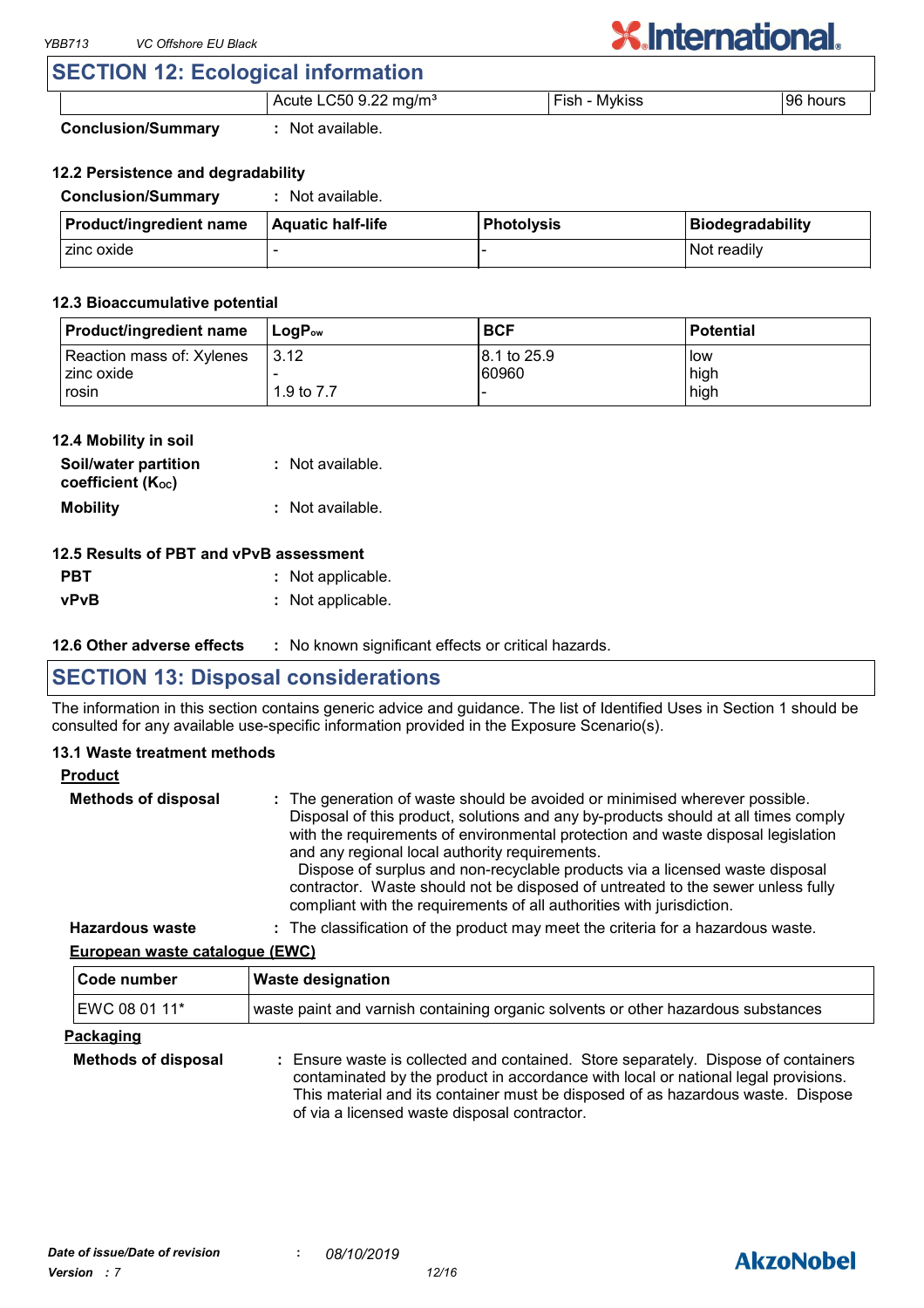### **SECTION 12: Ecological information**

| o<br>ng/m°<br>⊔t∈<br>י ורי<br>. .<br>________ | <b>MVKIC</b><br>$\sim$<br>-<br>__<br>____ | hours<br>ur<br>. |
|-----------------------------------------------|-------------------------------------------|------------------|

**Conclusion/Summary :** Not available.

#### **12.2 Persistence and degradability**

| <b>Conclusion/Summary</b>      | Not available.    |                   |                  |
|--------------------------------|-------------------|-------------------|------------------|
| <b>Product/ingredient name</b> | Aquatic half-life | <b>Photolysis</b> | Biodegradability |
| l zinc oxide                   |                   |                   | Not readily      |

#### **12.3 Bioaccumulative potential**

| <b>Product/ingredient name</b> | $\mathsf{LocP}_\mathsf{ow}$ | <b>BCF</b>   | <b>Potential</b> |
|--------------------------------|-----------------------------|--------------|------------------|
| Reaction mass of: Xylenes      | 3.12                        | 18.1 to 25.9 | l low            |
| I zinc oxide                   |                             | 60960        | high             |
| rosin                          | 1.9 to 7.7                  |              | high             |

#### **12.4 Mobility in soil**

| Soil/water partition<br>coefficient $(K_{oc})$ | : Not available.   |
|------------------------------------------------|--------------------|
| <b>Mobility</b>                                | $:$ Not available. |

#### **12.5 Results of PBT and vPvB assessment**

| <b>PBT</b>  | : Not applicable. |
|-------------|-------------------|
| <b>vPvB</b> | : Not applicable. |

**12.6 Other adverse effects** : No known significant effects or critical hazards.

### **SECTION 13: Disposal considerations**

The information in this section contains generic advice and guidance. The list of Identified Uses in Section 1 should be consulted for any available use-specific information provided in the Exposure Scenario(s).

#### **13.1 Waste treatment methods**

| ► | האוומס |  |
|---|--------|--|
|   |        |  |

| <b>Methods of disposal</b> | : The generation of waste should be avoided or minimised wherever possible.<br>Disposal of this product, solutions and any by-products should at all times comply<br>with the requirements of environmental protection and waste disposal legislation<br>and any regional local authority requirements.<br>Dispose of surplus and non-recyclable products via a licensed waste disposal<br>contractor. Waste should not be disposed of untreated to the sewer unless fully<br>compliant with the requirements of all authorities with jurisdiction. |
|----------------------------|-----------------------------------------------------------------------------------------------------------------------------------------------------------------------------------------------------------------------------------------------------------------------------------------------------------------------------------------------------------------------------------------------------------------------------------------------------------------------------------------------------------------------------------------------------|
| <b>Hazardous waste</b>     | : The classification of the product may meet the criteria for a hazardous waste.                                                                                                                                                                                                                                                                                                                                                                                                                                                                    |

**European waste catalogue (EWC)**

| Code number                | <b>Waste designation</b><br>waste paint and varnish containing organic solvents or other hazardous substances                                                                                                                                               |  |  |
|----------------------------|-------------------------------------------------------------------------------------------------------------------------------------------------------------------------------------------------------------------------------------------------------------|--|--|
| EWC 08 01 11*              |                                                                                                                                                                                                                                                             |  |  |
| <u>Packaging</u>           |                                                                                                                                                                                                                                                             |  |  |
| <b>Methods of disposal</b> | : Ensure waste is collected and contained. Store separately. Dispose of containers<br>contaminated by the product in accordance with local or national legal provisions.<br>This material and its container must be disposed of as hazardous waste. Dispose |  |  |

of via a licensed waste disposal contractor.

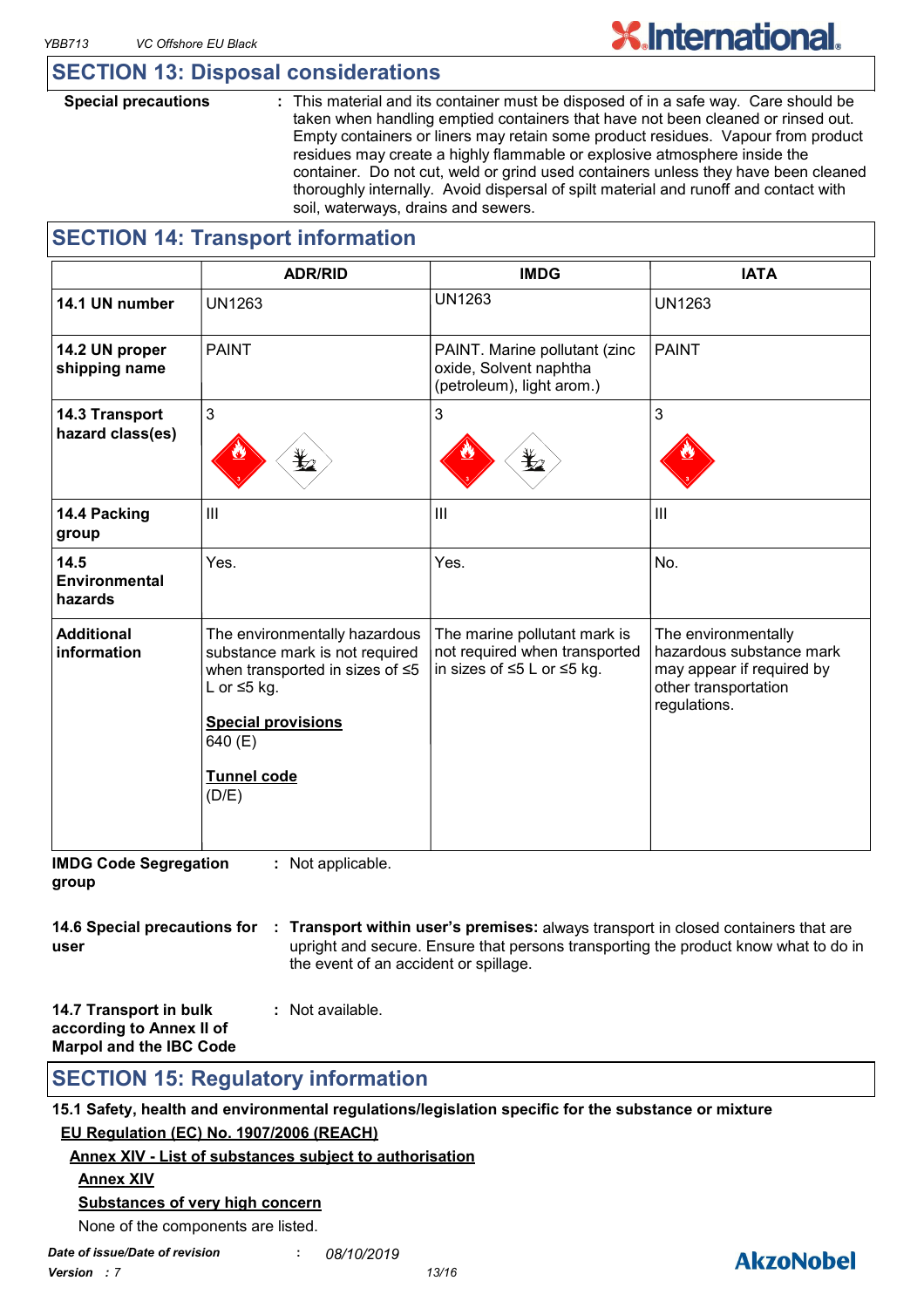### **SECTION 13: Disposal considerations**

**Special precautions :** This material and its container must be disposed of in a safe way. Care should be taken when handling emptied containers that have not been cleaned or rinsed out. Empty containers or liners may retain some product residues. Vapour from product residues may create a highly flammable or explosive atmosphere inside the container. Do not cut, weld or grind used containers unless they have been cleaned thoroughly internally. Avoid dispersal of spilt material and runoff and contact with soil, waterways, drains and sewers.

### **SECTION 14: Transport information**

|                                    | <b>ADR/RID</b>                                                                                                                                                                                 | <b>IMDG</b>                                                                                             | <b>IATA</b>                                                                                                          |
|------------------------------------|------------------------------------------------------------------------------------------------------------------------------------------------------------------------------------------------|---------------------------------------------------------------------------------------------------------|----------------------------------------------------------------------------------------------------------------------|
| 14.1 UN number                     | <b>UN1263</b>                                                                                                                                                                                  | <b>UN1263</b>                                                                                           | <b>UN1263</b>                                                                                                        |
| 14.2 UN proper<br>shipping name    | <b>PAINT</b>                                                                                                                                                                                   | PAINT. Marine pollutant (zinc<br>oxide, Solvent naphtha<br>(petroleum), light arom.)                    | <b>PAINT</b>                                                                                                         |
| 14.3 Transport<br>hazard class(es) | 3                                                                                                                                                                                              | 3                                                                                                       | 3                                                                                                                    |
| 14.4 Packing<br>group              | III                                                                                                                                                                                            | III                                                                                                     | $\mathbf{III}$                                                                                                       |
| 14.5<br>Environmental<br>hazards   | Yes.                                                                                                                                                                                           | Yes.                                                                                                    | No.                                                                                                                  |
| <b>Additional</b><br>information   | The environmentally hazardous<br>substance mark is not required<br>when transported in sizes of ≤5<br>L or $\leq$ 5 kg.<br><b>Special provisions</b><br>640 (E)<br><b>Tunnel code</b><br>(D/E) | The marine pollutant mark is<br>not required when transported<br>in sizes of $\leq 5$ L or $\leq 5$ kg. | The environmentally<br>hazardous substance mark<br>may appear if required by<br>other transportation<br>regulations. |

**IMDG Code Segregation group :** Not applicable.

|      | 14.6 Special precautions for : Transport within user's premises: always transport in closed containers that are |
|------|-----------------------------------------------------------------------------------------------------------------|
| user | upright and secure. Ensure that persons transporting the product know what to do in                             |
|      | the event of an accident or spillage.                                                                           |

| 14.7 Transport in bulk         | : Not available. |
|--------------------------------|------------------|
| according to Annex II of       |                  |
| <b>Marpol and the IBC Code</b> |                  |

### **SECTION 15: Regulatory information**

**15.1 Safety, health and environmental regulations/legislation specific for the substance or mixture EU Regulation (EC) No. 1907/2006 (REACH)**

**Annex XIV - List of substances subject to authorisation**

#### **Annex XIV**

#### **Substances of very high concern**

None of the components are listed.

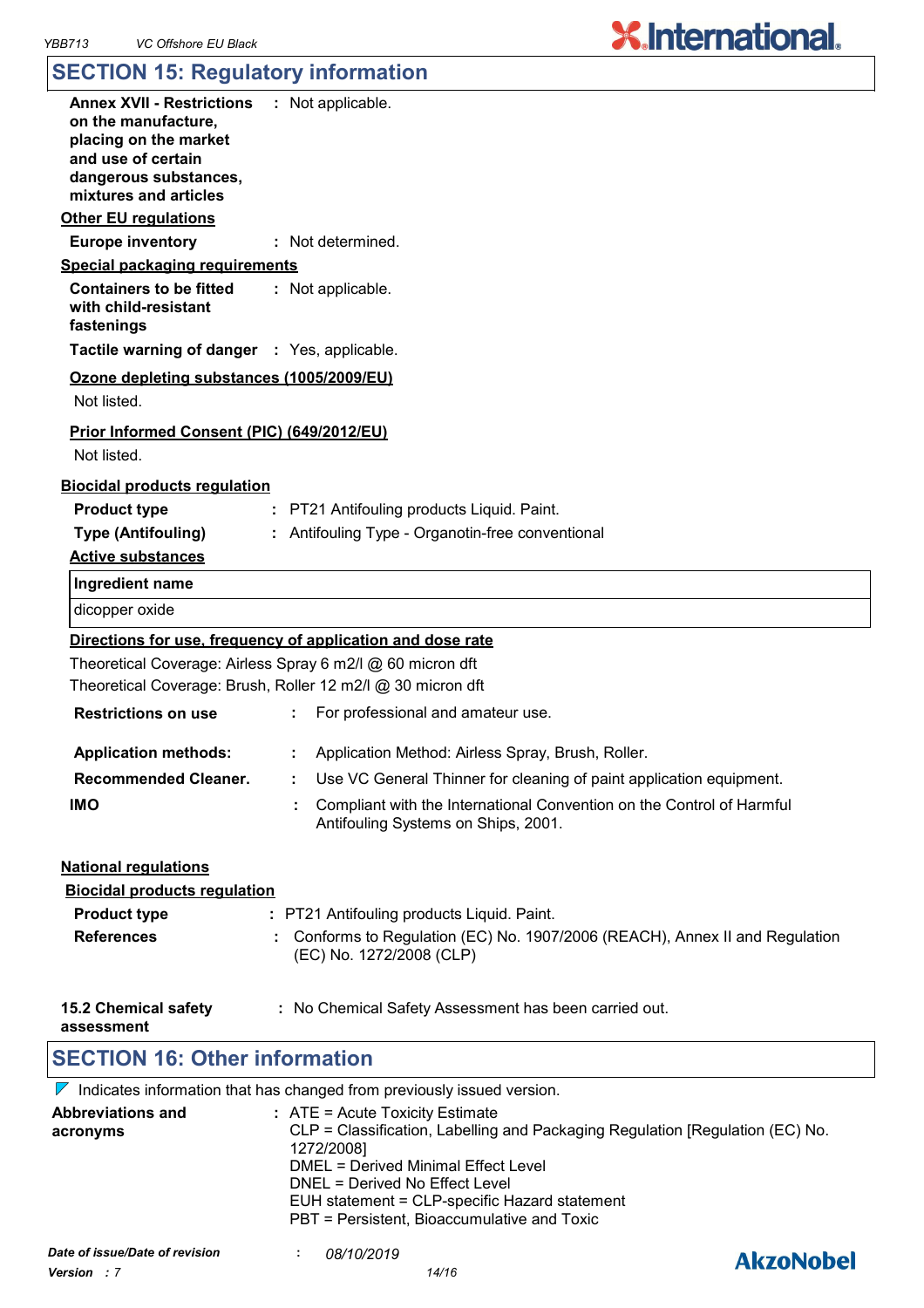### **SECTION 15: Regulatory information**

| Annex XVII - Restrictions : Not applicable.<br>on the manufacture,<br>placing on the market<br>and use of certain<br>dangerous substances,<br>mixtures and articles<br><b>Other EU requlations</b> |                                                                                                                                |
|----------------------------------------------------------------------------------------------------------------------------------------------------------------------------------------------------|--------------------------------------------------------------------------------------------------------------------------------|
| <b>Europe inventory</b>                                                                                                                                                                            | : Not determined.                                                                                                              |
| Special packaging requirements                                                                                                                                                                     |                                                                                                                                |
| <b>Containers to be fitted</b><br>with child-resistant<br>fastenings                                                                                                                               | : Not applicable.                                                                                                              |
| Tactile warning of danger : Yes, applicable.                                                                                                                                                       |                                                                                                                                |
| Ozone depleting substances (1005/2009/EU)<br>Not listed.                                                                                                                                           |                                                                                                                                |
| Prior Informed Consent (PIC) (649/2012/EU)<br>Not listed.                                                                                                                                          |                                                                                                                                |
| <b>Biocidal products regulation</b>                                                                                                                                                                |                                                                                                                                |
| <b>Product type</b>                                                                                                                                                                                | : PT21 Antifouling products Liquid. Paint.                                                                                     |
| <b>Type (Antifouling)</b>                                                                                                                                                                          | : Antifouling Type - Organotin-free conventional                                                                               |
| <b>Active substances</b>                                                                                                                                                                           |                                                                                                                                |
| Ingredient name                                                                                                                                                                                    |                                                                                                                                |
| dicopper oxide                                                                                                                                                                                     |                                                                                                                                |
|                                                                                                                                                                                                    | Directions for use, frequency of application and dose rate                                                                     |
|                                                                                                                                                                                                    | Theoretical Coverage: Airless Spray 6 m2/l @ 60 micron dft                                                                     |
|                                                                                                                                                                                                    | Theoretical Coverage: Brush, Roller 12 m2/l @ 30 micron dft                                                                    |
| <b>Restrictions on use</b>                                                                                                                                                                         | For professional and amateur use.                                                                                              |
| <b>Application methods:</b>                                                                                                                                                                        | : Application Method: Airless Spray, Brush, Roller.                                                                            |
| <b>Recommended Cleaner.</b>                                                                                                                                                                        | : Use VC General Thinner for cleaning of paint application equipment.                                                          |
| <b>IMO</b>                                                                                                                                                                                         | Compliant with the International Convention on the Control of Harmful<br>Antifouling Systems on Ships, 2001.                   |
| <b>National regulations</b><br><b>Biocidal products regulation</b>                                                                                                                                 |                                                                                                                                |
| <b>Product type</b>                                                                                                                                                                                | : PT21 Antifouling products Liquid. Paint.                                                                                     |
| <b>References</b>                                                                                                                                                                                  | : Conforms to Regulation (EC) No. 1907/2006 (REACH), Annex II and Regulation<br>(EC) No. 1272/2008 (CLP)                       |
| <b>15.2 Chemical safety</b><br>assessment                                                                                                                                                          | : No Chemical Safety Assessment has been carried out.                                                                          |
| <b>SECTION 16: Other information</b>                                                                                                                                                               |                                                                                                                                |
|                                                                                                                                                                                                    | $\nabla$ Indicates information that has changed from previously issued version.                                                |
| <b>Abbreviations and</b><br>acronyms                                                                                                                                                               | : ATE = Acute Toxicity Estimate<br>CLP = Classification, Labelling and Packaging Regulation [Regulation (EC) No.<br>1272/2008] |

DMEL = Derived Minimal Effect Level

DNEL = Derived No Effect Level EUH statement = CLP-specific Hazard statement

PBT = Persistent, Bioaccumulative and Toxic

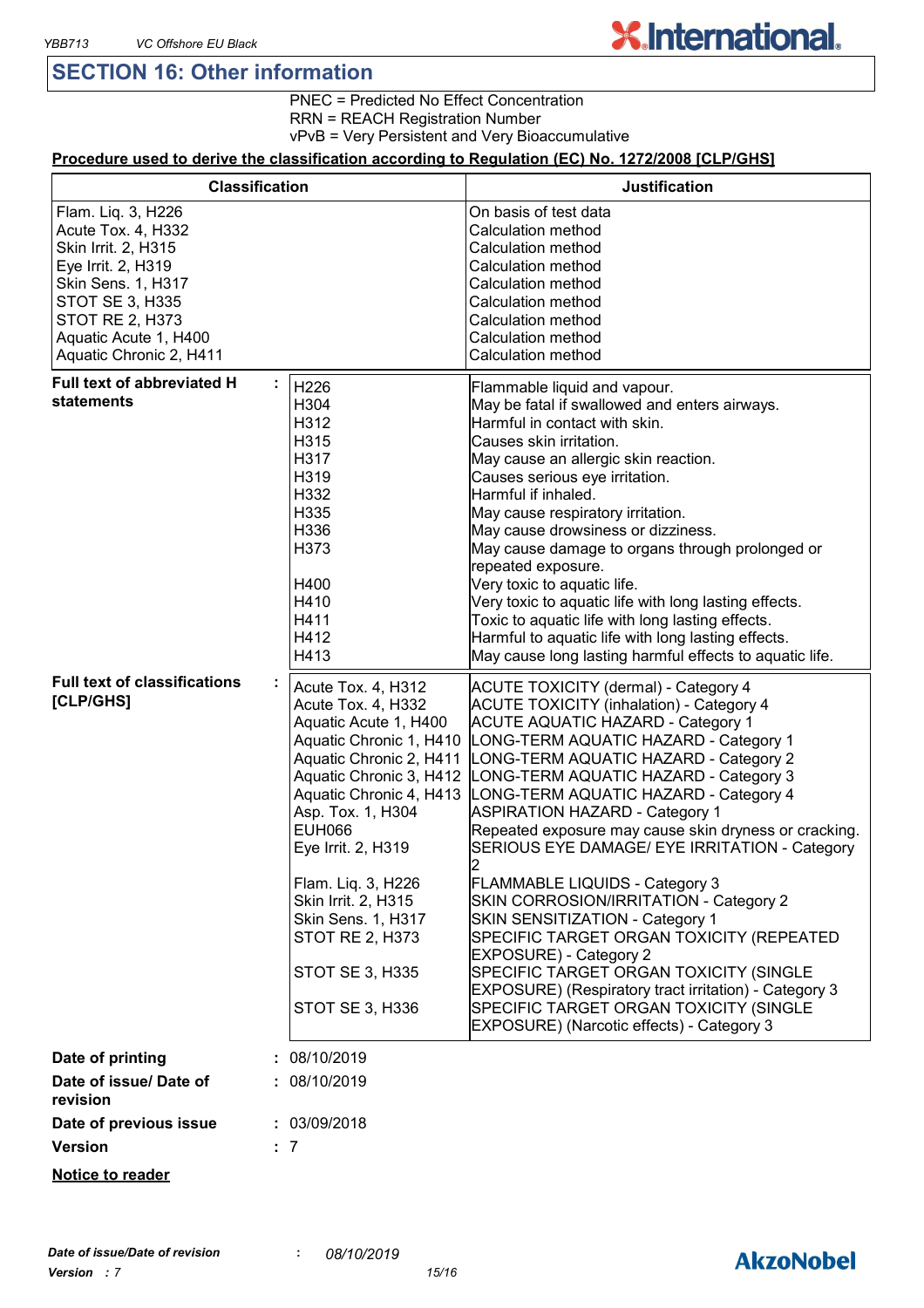### **SECTION 16: Other information**

**X.International.** 

### PNEC = Predicted No Effect Concentration

RRN = REACH Registration Number

vPvB = Very Persistent and Very Bioaccumulative

#### **Procedure used to derive the classification according to Regulation (EC) No. 1272/2008 [CLP/GHS]**

| <b>Classification</b>                                                                                                                                                                                        |                                                                                                                                                                                                                                                                                                                                                                                     | <b>Justification</b>                                                                                                                                                                                                                                                                                                                                                                                                                                                                                                                                                                                                                                                                                                                                                                                                                             |
|--------------------------------------------------------------------------------------------------------------------------------------------------------------------------------------------------------------|-------------------------------------------------------------------------------------------------------------------------------------------------------------------------------------------------------------------------------------------------------------------------------------------------------------------------------------------------------------------------------------|--------------------------------------------------------------------------------------------------------------------------------------------------------------------------------------------------------------------------------------------------------------------------------------------------------------------------------------------------------------------------------------------------------------------------------------------------------------------------------------------------------------------------------------------------------------------------------------------------------------------------------------------------------------------------------------------------------------------------------------------------------------------------------------------------------------------------------------------------|
| Flam. Liq. 3, H226<br>Acute Tox. 4, H332<br>Skin Irrit. 2, H315<br>Eye Irrit. 2, H319<br>Skin Sens. 1, H317<br>STOT SE 3, H335<br><b>STOT RE 2, H373</b><br>Aquatic Acute 1, H400<br>Aquatic Chronic 2, H411 |                                                                                                                                                                                                                                                                                                                                                                                     | On basis of test data<br>Calculation method<br>Calculation method<br>Calculation method<br>Calculation method<br>Calculation method<br>Calculation method<br>Calculation method<br>Calculation method                                                                                                                                                                                                                                                                                                                                                                                                                                                                                                                                                                                                                                            |
| Full text of abbreviated H<br>statements                                                                                                                                                                     | H226<br>H304<br>H312<br>H315<br>H317<br>H319<br>H332<br>H335<br>H336<br>H373<br>H400<br>H410<br>H411<br>H412<br>H413                                                                                                                                                                                                                                                                | Flammable liquid and vapour.<br>May be fatal if swallowed and enters airways.<br>Harmful in contact with skin.<br>Causes skin irritation.<br>May cause an allergic skin reaction.<br>Causes serious eye irritation.<br>Harmful if inhaled.<br>May cause respiratory irritation.<br>May cause drowsiness or dizziness.<br>May cause damage to organs through prolonged or<br>repeated exposure.<br>Very toxic to aquatic life.<br>Very toxic to aquatic life with long lasting effects.<br>Toxic to aquatic life with long lasting effects.<br>Harmful to aquatic life with long lasting effects.<br>May cause long lasting harmful effects to aquatic life.                                                                                                                                                                                      |
| <b>Full text of classifications</b><br>[CLP/GHS]                                                                                                                                                             | Acute Tox. 4, H312<br>Acute Tox. 4, H332<br>Aquatic Acute 1, H400<br>Aquatic Chronic 1, H410<br>Aquatic Chronic 2, H411<br>Aquatic Chronic 3, H412<br>Aquatic Chronic 4, H413<br>Asp. Tox. 1, H304<br><b>EUH066</b><br>Eye Irrit. 2, H319<br>Flam. Liq. 3, H226<br>Skin Irrit. 2, H315<br><b>Skin Sens. 1, H317</b><br><b>STOT RE 2, H373</b><br>STOT SE 3, H335<br>STOT SE 3, H336 | ACUTE TOXICITY (dermal) - Category 4<br><b>ACUTE TOXICITY (inhalation) - Category 4</b><br><b>ACUTE AQUATIC HAZARD - Category 1</b><br>LONG-TERM AQUATIC HAZARD - Category 1<br>LONG-TERM AQUATIC HAZARD - Category 2<br>LONG-TERM AQUATIC HAZARD - Category 3<br>LONG-TERM AQUATIC HAZARD - Category 4<br><b>ASPIRATION HAZARD - Category 1</b><br>Repeated exposure may cause skin dryness or cracking.<br>SERIOUS EYE DAMAGE/ EYE IRRITATION - Category<br>FLAMMABLE LIQUIDS - Category 3<br>SKIN CORROSION/IRRITATION - Category 2<br>SKIN SENSITIZATION - Category 1<br>SPECIFIC TARGET ORGAN TOXICITY (REPEATED<br><b>EXPOSURE) - Category 2</b><br>SPECIFIC TARGET ORGAN TOXICITY (SINGLE<br>EXPOSURE) (Respiratory tract irritation) - Category 3<br>SPECIFIC TARGET ORGAN TOXICITY (SINGLE<br>EXPOSURE) (Narcotic effects) - Category 3 |
| Date of printing                                                                                                                                                                                             | 08/10/2019                                                                                                                                                                                                                                                                                                                                                                          |                                                                                                                                                                                                                                                                                                                                                                                                                                                                                                                                                                                                                                                                                                                                                                                                                                                  |
| Date of issue/ Date of<br>revision                                                                                                                                                                           | : 08/10/2019                                                                                                                                                                                                                                                                                                                                                                        |                                                                                                                                                                                                                                                                                                                                                                                                                                                                                                                                                                                                                                                                                                                                                                                                                                                  |
| Date of previous issue<br><b>Version</b>                                                                                                                                                                     | : 03/09/2018<br>: 7                                                                                                                                                                                                                                                                                                                                                                 |                                                                                                                                                                                                                                                                                                                                                                                                                                                                                                                                                                                                                                                                                                                                                                                                                                                  |
| Notice to reader                                                                                                                                                                                             |                                                                                                                                                                                                                                                                                                                                                                                     |                                                                                                                                                                                                                                                                                                                                                                                                                                                                                                                                                                                                                                                                                                                                                                                                                                                  |